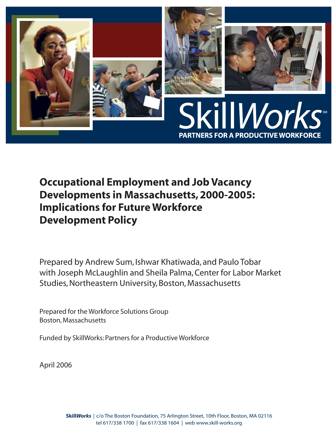

**Occupational Employment and Job Vacancy Developments in Massachusetts, 2000-2005: Implications for Future Workforce Development Policy**

Prepared by Andrew Sum, Ishwar Khatiwada, and Paulo Tobar with Joseph McLaughlin and Sheila Palma, Center for Labor Market Studies, Northeastern University, Boston, Massachusetts

Prepared for the Workforce Solutions Group Boston, Massachusetts

Funded by SkillWorks: Partners for a Productive Workforce

April 2006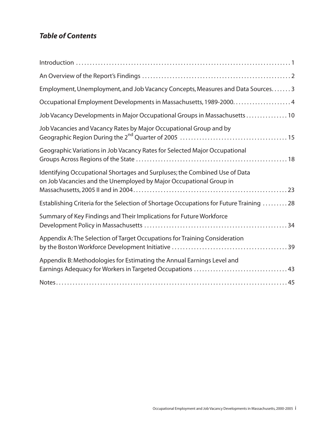# *Table of Contents*

| Employment, Unemployment, and Job Vacancy Concepts, Measures and Data Sources. 3                                                                 |
|--------------------------------------------------------------------------------------------------------------------------------------------------|
|                                                                                                                                                  |
| Job Vacancy Developments in Major Occupational Groups in Massachusetts  10                                                                       |
| Job Vacancies and Vacancy Rates by Major Occupational Group and by                                                                               |
| Geographic Variations in Job Vacancy Rates for Selected Major Occupational                                                                       |
| Identifying Occupational Shortages and Surpluses; the Combined Use of Data<br>on Job Vacancies and the Unemployed by Major Occupational Group in |
| Establishing Criteria for the Selection of Shortage Occupations for Future Training  28                                                          |
| Summary of Key Findings and Their Implications for Future Workforce                                                                              |
| Appendix A: The Selection of Target Occupations for Training Consideration                                                                       |
| Appendix B: Methodologies for Estimating the Annual Earnings Level and                                                                           |
|                                                                                                                                                  |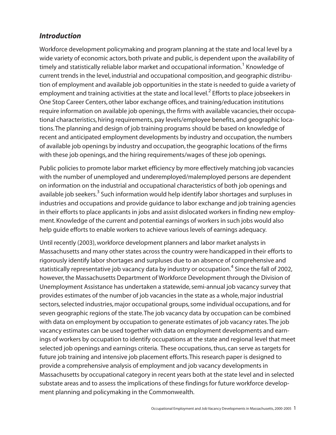## *Introduction*

Workforce development policymaking and program planning at the state and local level by a wide variety of economic actors, both private and public, is dependent upon the availability of timely and statistically reliable labor market and occupational information.<sup>1</sup> Knowledge of current trends in the level, industrial and occupational composition, and geographic distribution of employment and available job opportunities in the state is needed to guide a variety of employment and training activities at the state and local level.<sup>2</sup> Efforts to place jobseekers in One Stop Career Centers, other labor exchange offices, and training/education institutions require information on available job openings, the firms with available vacancies, their occupational characteristics, hiring requirements, pay levels/employee benefits, and geographic locations.The planning and design of job training programs should be based on knowledge of recent and anticipated employment developments by industry and occupation, the numbers of available job openings by industry and occupation, the geographic locations of the firms with these job openings, and the hiring requirements/wages of these job openings.

Public policies to promote labor market efficiency by more effectively matching job vacancies with the number of unemployed and underemployed/malemployed persons are dependent on information on the industrial and occupational characteristics of both job openings and available job seekers.<sup>3</sup> Such information would help identify labor shortages and surpluses in industries and occupations and provide guidance to labor exchange and job training agencies in their efforts to place applicants in jobs and assist dislocated workers in finding new employment.Knowledge of the current and potential earnings of workers in such jobs would also help guide efforts to enable workers to achieve various levels of earnings adequacy.

Until recently (2003), workforce development planners and labor market analysts in Massachusetts and many other states across the country were handicapped in their efforts to rigorously identify labor shortages and surpluses due to an absence of comprehensive and statistically representative job vacancy data by industry or occupation.<sup>4</sup> Since the fall of 2002, however, the Massachusetts Department of Workforce Development through the Division of Unemployment Assistance has undertaken a statewide, semi-annual job vacancy survey that provides estimates of the number of job vacancies in the state as a whole, major industrial sectors, selected industries, major occupational groups, some individual occupations, and for seven geographic regions of the state.The job vacancy data by occupation can be combined with data on employment by occupation to generate estimates of job vacancy rates.The job vacancy estimates can be used together with data on employment developments and earnings of workers by occupation to identify occupations at the state and regional level that meet selected job openings and earnings criteria. These occupations, thus, can serve as targets for future job training and intensive job placement efforts.This research paper is designed to provide a comprehensive analysis of employment and job vacancy developments in Massachusetts by occupational category in recent years both at the state level and in selected substate areas and to assess the implications of these findings for future workforce development planning and policymaking in the Commonwealth.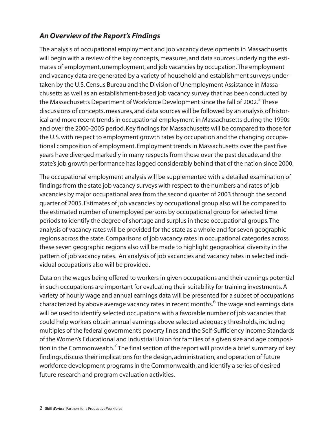# *An Overview of the Report's Findings*

The analysis of occupational employment and job vacancy developments in Massachusetts will begin with a review of the key concepts, measures, and data sources underlying the estimates of employment, unemployment, and job vacancies by occupation.The employment and vacancy data are generated by a variety of household and establishment surveys undertaken by the U.S. Census Bureau and the Division of Unemployment Assistance in Massachusetts as well as an establishment-based job vacancy survey that has been conducted by the Massachusetts Department of Workforce Development since the fall of 2002.<sup>5</sup> These discussions of concepts, measures, and data sources will be followed by an analysis of historical and more recent trends in occupational employment in Massachusetts during the 1990s and over the 2000-2005 period. Key findings for Massachusetts will be compared to those for the U.S. with respect to employment growth rates by occupation and the changing occupational composition of employment. Employment trends in Massachusetts over the past five years have diverged markedly in many respects from those over the past decade, and the state's job growth performance has lagged considerably behind that of the nation since 2000.

The occupational employment analysis will be supplemented with a detailed examination of findings from the state job vacancy surveys with respect to the numbers and rates of job vacancies by major occupational area from the second quarter of 2003 through the second quarter of 2005. Estimates of job vacancies by occupational group also will be compared to the estimated number of unemployed persons by occupational group for selected time periods to identify the degree of shortage and surplus in these occupational groups.The analysis of vacancy rates will be provided for the state as a whole and for seven geographic regions across the state. Comparisons of job vacancy rates in occupational categories across these seven geographic regions also will be made to highlight geographical diversity in the pattern of job vacancy rates. An analysis of job vacancies and vacancy rates in selected individual occupations also will be provided.

Data on the wages being offered to workers in given occupations and their earnings potential in such occupations are important for evaluating their suitability for training investments. A variety of hourly wage and annual earnings data will be presented for a subset of occupations characterized by above average vacancy rates in recent months.<sup>6</sup> The wage and earnings data will be used to identify selected occupations with a favorable number of job vacancies that could help workers obtain annual earnings above selected adequacy thresholds, including multiples of the federal government's poverty lines and the Self-Sufficiency Income Standards of the Women's Educational and Industrial Union for families of a given size and age composition in the Commonwealth.<sup>7</sup> The final section of the report will provide a brief summary of key findings, discuss their implications for the design, administration, and operation of future workforce development programs in the Commonwealth, and identify a series of desired future research and program evaluation activities.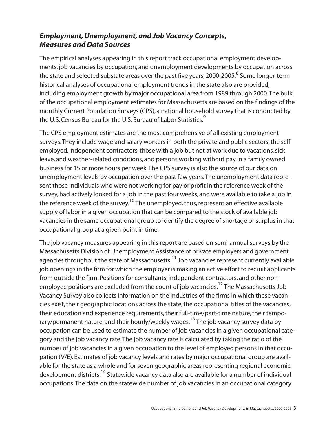# *Employment, Unemployment, and Job Vacancy Concepts, Measures and Data Sources*

The empirical analyses appearing in this report track occupational employment developments, job vacancies by occupation, and unemployment developments by occupation across the state and selected substate areas over the past five years, 2000-2005. $8$  Some longer-term historical analyses of occupational employment trends in the state also are provided, including employment growth by major occupational area from 1989 through 2000.The bulk of the occupational employment estimates for Massachusetts are based on the findings of the monthly Current Population Surveys (CPS), a national household survey that is conducted by the U.S. Census Bureau for the U.S. Bureau of Labor Statistics.<sup>9</sup>

The CPS employment estimates are the most comprehensive of all existing employment surveys.They include wage and salary workers in both the private and public sectors, the selfemployed, independent contractors, those with a job but not at work due to vacations, sick leave, and weather-related conditions, and persons working without pay in a family owned business for 15 or more hours per week.The CPS survey is also the source of our data on unemployment levels by occupation over the past few years.The unemployment data represent those individuals who were not working for pay or profit in the reference week of the survey, had actively looked for a job in the past four weeks, and were available to take a job in the reference week of the survey.<sup>10</sup> The unemployed, thus, represent an effective available supply of labor in a given occupation that can be compared to the stock of available job vacancies in the same occupational group to identify the degree of shortage or surplus in that occupational group at a given point in time.

The job vacancy measures appearing in this report are based on semi-annual surveys by the Massachusetts Division of Unemployment Assistance of private employers and government agencies throughout the state of Massachusetts.<sup>11</sup> Job vacancies represent currently available job openings in the firm for which the employer is making an active effort to recruit applicants from outside the firm. Positions for consultants, independent contractors, and other nonemployee positions are excluded from the count of job vacancies.<sup>12</sup> The Massachusetts Job Vacancy Survey also collects information on the industries of the firms in which these vacancies exist, their geographic locations across the state, the occupational titles of the vacancies, their education and experience requirements, their full-time/part-time nature, their temporary/permanent nature, and their hourly/weekly wages.<sup>13</sup> The job vacancy survey data by occupation can be used to estimate the number of job vacancies in a given occupational category and the job vacancy rate. The job vacancy rate is calculated by taking the ratio of the number of job vacancies in a given occupation to the level of employed persons in that occupation (V/E). Estimates of job vacancy levels and rates by major occupational group are available for the state as a whole and for seven geographic areas representing regional economic development districts.<sup>14</sup> Statewide vacancy data also are available for a number of individual occupations.The data on the statewide number of job vacancies in an occupational category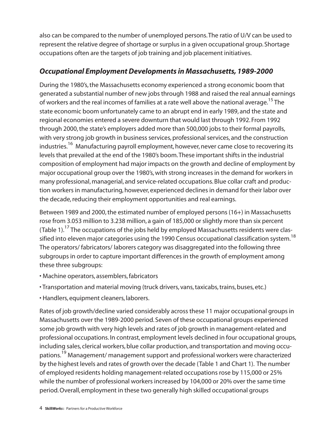also can be compared to the number of unemployed persons.The ratio of U/V can be used to represent the relative degree of shortage or surplus in a given occupational group. Shortage occupations often are the targets of job training and job placement initiatives.

## *Occupational Employment Developments in Massachusetts, 1989-2000*

During the 1980's, the Massachusetts economy experienced a strong economic boom that generated a substantial number of new jobs through 1988 and raised the real annual earnings of workers and the real incomes of families at a rate well above the national average.<sup>15</sup> The state economic boom unfortunately came to an abrupt end in early 1989, and the state and regional economies entered a severe downturn that would last through 1992. From 1992 through 2000, the state's employers added more than 500,000 jobs to their formal payrolls, with very strong job growth in business services, professional services, and the construction industries.<sup>16</sup> Manufacturing payroll employment, however, never came close to recovering its levels that prevailed at the end of the 1980's boom.These important shifts in the industrial composition of employment had major impacts on the growth and decline of employment by major occupational group over the 1980's, with strong increases in the demand for workers in many professional, managerial, and service-related occupations. Blue collar craft and production workers in manufacturing, however, experienced declines in demand for their labor over the decade, reducing their employment opportunities and real earnings.

Between 1989 and 2000, the estimated number of employed persons (16+) in Massachusetts rose from 3.053 million to 3.238 million, a gain of 185,000 or slightly more than six percent (Table 1).<sup>17</sup> The occupations of the jobs held by employed Massachusetts residents were classified into eleven major categories using the 1990 Census occupational classification system.<sup>18</sup> The operators/ fabricators/ laborers category was disaggregated into the following three subgroups in order to capture important differences in the growth of employment among these three subgroups:

- Machine operators, assemblers, fabricators
- Transportation and material moving (truck drivers, vans, taxicabs, trains, buses, etc.)
- Handlers, equipment cleaners, laborers.

Rates of job growth/decline varied considerably across these 11 major occupational groups in Massachusetts over the 1989-2000 period. Seven of these occupational groups experienced some job growth with very high levels and rates of job growth in management-related and professional occupations. In contrast, employment levels declined in four occupational groups, including sales, clerical workers, blue collar production, and transportation and moving occupations.19 Management/ management support and professional workers were characterized by the highest levels and rates of growth over the decade (Table 1 and Chart 1). The number of employed residents holding management-related occupations rose by 115,000 or 25% while the number of professional workers increased by 104,000 or 20% over the same time period. Overall, employment in these two generally high skilled occupational groups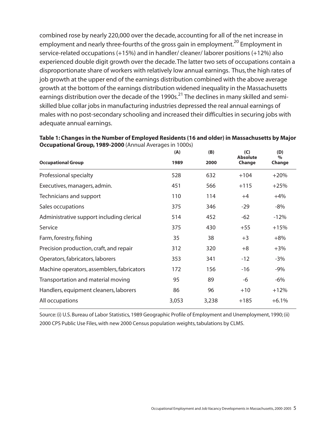combined rose by nearly 220,000 over the decade, accounting for all of the net increase in employment and nearly three-fourths of the gross gain in employment.<sup>20</sup> Employment in service-related occupations (+15%) and in handler/ cleaner/ laborer positions (+12%) also experienced double digit growth over the decade.The latter two sets of occupations contain a disproportionate share of workers with relatively low annual earnings. Thus, the high rates of job growth at the upper end of the earnings distribution combined with the above average growth at the bottom of the earnings distribution widened inequality in the Massachusetts earnings distribution over the decade of the 1990s.<sup>21</sup> The declines in many skilled and semiskilled blue collar jobs in manufacturing industries depressed the real annual earnings of males with no post-secondary schooling and increased their difficulties in securing jobs with adequate annual earnings.

|                                            | (A)   | (B)   | (C)<br><b>Absolute</b> | (D)<br>$\%$ |
|--------------------------------------------|-------|-------|------------------------|-------------|
| <b>Occupational Group</b>                  | 1989  | 2000  | Change                 | Change      |
| Professional specialty                     | 528   | 632   | $+104$                 | $+20%$      |
| Executives, managers, admin.               | 451   | 566   | $+115$                 | $+25%$      |
| Technicians and support                    | 110   | 114   | $+4$                   | $+4%$       |
| Sales occupations                          | 375   | 346   | $-29$                  | $-8%$       |
| Administrative support including clerical  | 514   | 452   | $-62$                  | $-12%$      |
| Service                                    | 375   | 430   | $+55$                  | $+15%$      |
| Farm, forestry, fishing                    | 35    | 38    | $+3$                   | $+8%$       |
| Precision production, craft, and repair    | 312   | 320   | $+8$                   | $+3%$       |
| Operators, fabricators, laborers           | 353   | 341   | $-12$                  | $-3%$       |
| Machine operators, assemblers, fabricators | 172   | 156   | $-16$                  | $-9%$       |
| Transportation and material moving         | 95    | 89    | $-6$                   | $-6\%$      |
| Handlers, equipment cleaners, laborers     | 86    | 96    | $+10$                  | $+12%$      |
| All occupations                            | 3,053 | 3,238 | $+185$                 | $+6.1%$     |
|                                            |       |       |                        |             |

**Table 1: Changes in the Number of Employed Residents (16 and older) in Massachusetts by Major Occupational Group, 1989-2000** (Annual Averages in 1000s)

Source: (i) U.S. Bureau of Labor Statistics, 1989 Geographic Profile of Employment and Unemployment, 1990; (ii) 2000 CPS Public Use Files, with new 2000 Census population weights, tabulations by CLMS.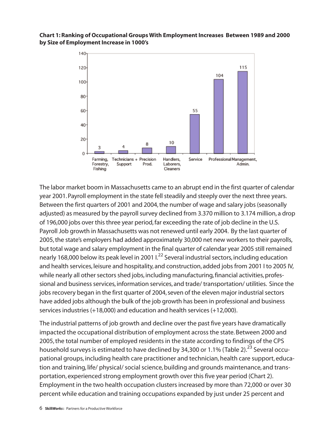## **Chart 1: Ranking of Occupational Groups With Employment Increases Between 1989 and 2000 by Size of Employment Increase in 1000's**



The labor market boom in Massachusetts came to an abrupt end in the first quarter of calendar year 2001. Payroll employment in the state fell steadily and steeply over the next three years. Between the first quarters of 2001 and 2004, the number of wage and salary jobs (seasonally adjusted) as measured by the payroll survey declined from 3.370 million to 3.174 million, a drop of 196,000 jobs over this three year period, far exceeding the rate of job decline in the U.S. Payroll Job growth in Massachusetts was not renewed until early 2004. By the last quarter of 2005, the state's employers had added approximately 30,000 net new workers to their payrolls, but total wage and salary employment in the final quarter of calendar year 2005 still remained nearly 168,000 below its peak level in 2001 I.<sup>22</sup> Several industrial sectors, including education and health services, leisure and hospitality, and construction, added jobs from 2001 I to 2005 IV, while nearly all other sectors shed jobs, including manufacturing, financial activities, professional and business services, information services, and trade/ transportation/ utilities. Since the jobs recovery began in the first quarter of 2004, seven of the eleven major industrial sectors have added jobs although the bulk of the job growth has been in professional and business services industries (+18,000) and education and health services (+12,000).

The industrial patterns of job growth and decline over the past five years have dramatically impacted the occupational distribution of employment across the state. Between 2000 and 2005, the total number of employed residents in the state according to findings of the CPS household surveys is estimated to have declined by 34,300 or 1.1% (Table 2).<sup>23</sup> Several occupational groups, including health care practitioner and technician, health care support, education and training, life/ physical/ social science, building and grounds maintenance, and transportation, experienced strong employment growth over this five year period (Chart 2). Employment in the two health occupation clusters increased by more than 72,000 or over 30 percent while education and training occupations expanded by just under 25 percent and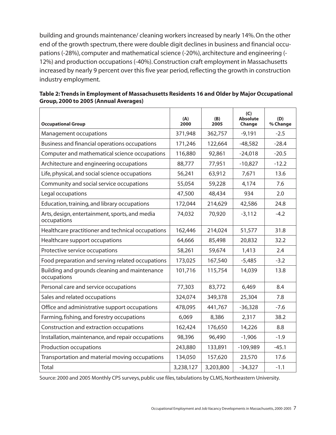building and grounds maintenance/ cleaning workers increased by nearly 14%. On the other end of the growth spectrum, there were double digit declines in business and financial occupations (-28%), computer and mathematical science (-20%), architecture and engineering (- 12%) and production occupations (-40%). Construction craft employment in Massachusetts increased by nearly 9 percent over this five year period, reflecting the growth in construction industry employment.

| <b>Occupational Group</b>                                     | (A)<br>2000 | (B)<br>2005 | (C)<br><b>Absolute</b><br>Change | (D)<br>% Change |
|---------------------------------------------------------------|-------------|-------------|----------------------------------|-----------------|
| Management occupations                                        | 371,948     | 362,757     | $-9,191$                         | $-2.5$          |
| Business and financial operations occupations                 | 171,246     | 122,664     | $-48,582$                        | $-28.4$         |
| Computer and mathematical science occupations                 | 116,880     | 92,861      | $-24,018$                        | $-20.5$         |
| Architecture and engineering occupations                      | 88,777      | 77,951      | $-10,827$                        | $-12.2$         |
| Life, physical, and social science occupations                | 56,241      | 63,912      | 7,671                            | 13.6            |
| Community and social service occupations                      | 55,054      | 59,228      | 4,174                            | 7.6             |
| Legal occupations                                             | 47,500      | 48,434      | 934                              | 2.0             |
| Education, training, and library occupations                  | 172,044     | 214,629     | 42,586                           | 24.8            |
| Arts, design, entertainment, sports, and media<br>occupations | 74,032      | 70,920      | $-3,112$                         | $-4.2$          |
| Healthcare practitioner and technical occupations             | 162,446     | 214,024     | 51,577                           | 31.8            |
| Healthcare support occupations                                | 64,666      | 85,498      | 20,832                           | 32.2            |
| Protective service occupations                                | 58,261      | 59,674      | 1,413                            | 2.4             |
| Food preparation and serving related occupations              | 173,025     | 167,540     | $-5,485$                         | $-3.2$          |
| Building and grounds cleaning and maintenance<br>occupations  | 101,716     | 115,754     | 14,039                           | 13.8            |
| Personal care and service occupations                         | 77,303      | 83,772      | 6,469                            | 8.4             |
| Sales and related occupations                                 | 324,074     | 349,378     | 25,304                           | 7.8             |
| Office and administrative support occupations                 | 478,095     | 441,767     | $-36,328$                        | $-7.6$          |
| Farming, fishing, and forestry occupations                    | 6,069       | 8,386       | 2,317                            | 38.2            |
| Construction and extraction occupations                       | 162,424     | 176,650     | 14,226                           | 8.8             |
| Installation, maintenance, and repair occupations             | 98,396      | 96,490      | $-1,906$                         | $-1.9$          |
| Production occupations                                        | 243,880     | 133,891     | $-109,989$                       | $-45.1$         |
| Transportation and material moving occupations                | 134,050     | 157,620     | 23,570                           | 17.6            |
| Total                                                         | 3,238,127   | 3,203,800   | $-34,327$                        | $-1.1$          |

| Table 2: Trends in Employment of Massachusetts Residents 16 and Older by Major Occupational |
|---------------------------------------------------------------------------------------------|
| Group, 2000 to 2005 (Annual Averages)                                                       |

Source: 2000 and 2005 Monthly CPS surveys, public use files, tabulations by CLMS, Northeastern University.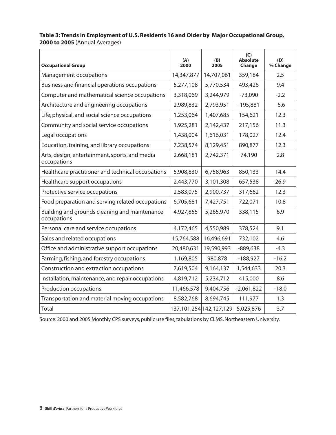## **Table 3: Trends in Employment of U.S. Residents 16 and Older by Major Occupational Group, 2000 to 2005** (Annual Averages)

| <b>Occupational Group</b>                                     | (A)<br>2000 | (B)<br>2005             | (C)<br><b>Absolute</b><br>Change | (D)<br>% Change |
|---------------------------------------------------------------|-------------|-------------------------|----------------------------------|-----------------|
| Management occupations                                        | 14,347,877  | 14,707,061              | 359,184                          | 2.5             |
| Business and financial operations occupations                 | 5,277,108   | 5,770,534               | 493,426                          | 9.4             |
| Computer and mathematical science occupations                 | 3,318,069   | 3,244,979               | $-73,090$                        | $-2.2$          |
| Architecture and engineering occupations                      | 2,989,832   | 2,793,951               | $-195,881$                       | $-6.6$          |
| Life, physical, and social science occupations                | 1,253,064   | 1,407,685               | 154,621                          | 12.3            |
| Community and social service occupations                      | 1,925,281   | 2,142,437               | 217,156                          | 11.3            |
| Legal occupations                                             | 1,438,004   | 1,616,031               | 178,027                          | 12.4            |
| Education, training, and library occupations                  | 7,238,574   | 8,129,451               | 890,877                          | 12.3            |
| Arts, design, entertainment, sports, and media<br>occupations | 2,668,181   | 2,742,371               | 74,190                           | 2.8             |
| Healthcare practitioner and technical occupations             | 5,908,830   | 6,758,963               | 850,133                          | 14.4            |
| Healthcare support occupations                                | 2,443,770   | 3,101,308               | 657,538                          | 26.9            |
| Protective service occupations                                | 2,583,075   | 2,900,737               | 317,662                          | 12.3            |
| Food preparation and serving related occupations              | 6,705,681   | 7,427,751               | 722,071                          | 10.8            |
| Building and grounds cleaning and maintenance<br>occupations  | 4,927,855   | 5,265,970               | 338,115                          | 6.9             |
| Personal care and service occupations                         | 4,172,465   | 4,550,989               | 378,524                          | 9.1             |
| Sales and related occupations                                 | 15,764,588  | 16,496,691              | 732,102                          | 4.6             |
| Office and administrative support occupations                 | 20,480,631  | 19,590,993              | $-889,638$                       | $-4.3$          |
| Farming, fishing, and forestry occupations                    | 1,169,805   | 980,878                 | $-188,927$                       | $-16.2$         |
| Construction and extraction occupations                       | 7,619,504   | 9,164,137               | 1,544,633                        | 20.3            |
| Installation, maintenance, and repair occupations             | 4,819,712   | 5,234,712               | 415,000                          | 8.6             |
| Production occupations                                        | 11,466,578  | 9,404,756               | $-2,061,822$                     | $-18.0$         |
| Transportation and material moving occupations                | 8,582,768   | 8,694,745               | 111,977                          | 1.3             |
| Total                                                         |             | 137,101,254 142,127,129 | 5,025,876                        | 3.7             |

Source: 2000 and 2005 Monthly CPS surveys, public use files, tabulations by CLMS, Northeastern University.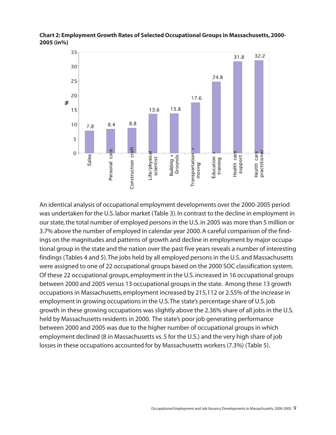

**Chart 2: Employment Growth Rates of Selected Occupational Groups in Massachusetts, 2000- 2005 (in%)**

An identical analysis of occupational employment developments over the 2000-2005 period was undertaken for the U.S. labor market (Table 3). In contrast to the decline in employment in our state, the total number of employed persons in the U.S. in 2005 was more than 5 million or 3.7% above the number of employed in calendar year 2000. A careful comparison of the findings on the magnitudes and patterns of growth and decline in employment by major occupational group in the state and the nation over the past five years reveals a number of interesting findings (Tables 4 and 5).The jobs held by all employed persons in the U.S. and Massachusetts were assigned to one of 22 occupational groups based on the 2000 SOC classification system. Of these 22 occupational groups, employment in the U.S. increased in 16 occupational groups between 2000 and 2005 versus 13 occupational groups in the state. Among these 13 growth occupations in Massachusetts, employment increased by 215,112 or 2.55% of the increase in employment in growing occupations in the U.S.The state's percentage share of U.S. job growth in these growing occupations was slightly above the 2.36% share of all jobs in the U.S. held by Massachusetts residents in 2000. The state's poor job generating performance between 2000 and 2005 was due to the higher number of occupational groups in which employment declined (8 in Massachusetts vs. 5 for the U.S.) and the very high share of job losses in these occupations accounted for by Massachusetts workers (7.3%) (Table 5).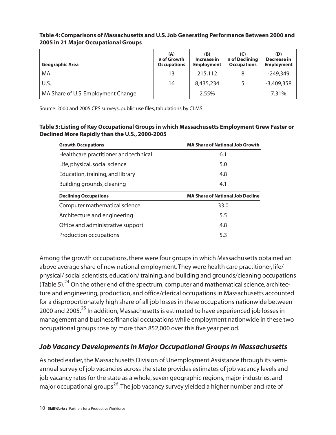| Geographic Area                    | (A)<br># of Growth<br><b>Occupations</b> | (B)<br>Increase in<br><b>Employment</b> | (C)<br># of Declining<br><b>Occupations</b> | (D)<br><b>Decrease in</b><br><b>Employment</b> |
|------------------------------------|------------------------------------------|-----------------------------------------|---------------------------------------------|------------------------------------------------|
| MA                                 | 13                                       | 215,112                                 |                                             | $-249,349$                                     |
| U.S.                               | 16                                       | 8,435,234                               |                                             | $-3,409,358$                                   |
| MA Share of U.S. Employment Change |                                          | 2.55%                                   |                                             | 7.31%                                          |

## **Table 4: Comparisons of Massachusetts and U.S. Job Generating Performance Between 2000 and 2005 in 21 Major Occupational Groups**

Source: 2000 and 2005 CPS surveys, public use files, tabulations by CLMS.

#### **Table 5: Listing of Key Occupational Groups in which Massachusetts Employment Grew Faster or Declined More Rapidly than the U.S., 2000-2005**

| <b>Growth Occupations</b>             | <b>MA Share of National Job Growth</b>  |
|---------------------------------------|-----------------------------------------|
| Healthcare practitioner and technical | 6.1                                     |
| Life, physical, social science        | 5.0                                     |
| Education, training, and library      | 4.8                                     |
| Building grounds, cleaning            | 4.1                                     |
|                                       |                                         |
| <b>Declining Occupations</b>          | <b>MA Share of National Job Decline</b> |
| Computer mathematical science         | 33.0                                    |
| Architecture and engineering          | 5.5                                     |
| Office and administrative support     | 4.8                                     |

Among the growth occupations, there were four groups in which Massachusetts obtained an above average share of new national employment.They were health care practitioner, life/ physical/ social scientists, education/ training, and building and grounds/cleaning occupations (Table 5). $^{24}$  On the other end of the spectrum, computer and mathematical science, architecture and engineering, production, and office/clerical occupations in Massachusetts accounted for a disproportionately high share of all job losses in these occupations nationwide between 2000 and 2005.<sup>25</sup> In addition, Massachusetts is estimated to have experienced job losses in management and business/financial occupations while employment nationwide in these two occupational groups rose by more than 852,000 over this five year period.

# *Job Vacancy Developments in Major Occupational Groups in Massachusetts*

As noted earlier, the Massachusetts Division of Unemployment Assistance through its semiannual survey of job vacancies across the state provides estimates of job vacancy levels and job vacancy rates for the state as a whole, seven geographic regions, major industries, and major occupational groups<sup>26</sup>. The job vacancy survey yielded a higher number and rate of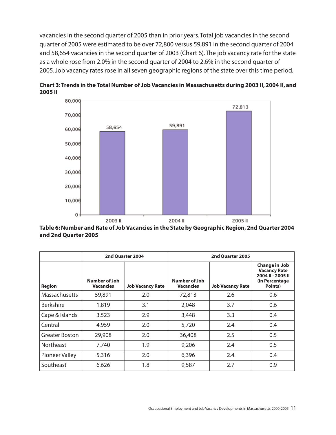vacancies in the second quarter of 2005 than in prior years.Total job vacancies in the second quarter of 2005 were estimated to be over 72,800 versus 59,891 in the second quarter of 2004 and 58,654 vacancies in the second quarter of 2003 (Chart 6).The job vacancy rate for the state as a whole rose from 2.0% in the second quarter of 2004 to 2.6% in the second quarter of 2005. Job vacancy rates rose in all seven geographic regions of the state over this time period.



**Chart 3: Trends in the Total Number of Job Vacancies in Massachusetts during 2003 II, 2004 II, and 2005 II** 

**Table 6:Number and Rate of Job Vacancies in the State by Geographic Region, 2nd Quarter 2004 and 2nd Quarter 2005**

|                       |                                   | 2nd Quarter 2004        | 2nd Quarter 2005                  |                         |                                                                                         |  |
|-----------------------|-----------------------------------|-------------------------|-----------------------------------|-------------------------|-----------------------------------------------------------------------------------------|--|
| <b>Region</b>         | Number of Job<br><b>Vacancies</b> | <b>Job Vacancy Rate</b> | Number of Job<br><b>Vacancies</b> | <b>Job Vacancy Rate</b> | Change in Job<br><b>Vacancy Rate</b><br>2004 II - 2005 II<br>(in Percentage)<br>Points) |  |
| <b>Massachusetts</b>  | 59,891                            | 2.0                     | 72,813                            | 2.6                     | 0.6                                                                                     |  |
| <b>Berkshire</b>      | 1,819                             | 3.1                     | 2,048                             | 3.7                     | 0.6                                                                                     |  |
| Cape & Islands        | 3,523                             | 2.9                     | 3,448                             | 3.3                     | 0.4                                                                                     |  |
| Central               | 4,959                             | 2.0                     | 5,720                             | 2.4                     | 0.4                                                                                     |  |
| <b>Greater Boston</b> | 29,908                            | 2.0                     | 36,408                            | 2.5                     | 0.5                                                                                     |  |
| <b>Northeast</b>      | 7,740                             | 1.9                     | 9,206                             | 2.4                     | 0.5                                                                                     |  |
| Pioneer Valley        | 5,316                             | 2.0                     | 6,396                             | 2.4                     | 0.4                                                                                     |  |
| Southeast             | 6,626                             | 1.8                     | 9,587                             | 2.7                     | 0.9                                                                                     |  |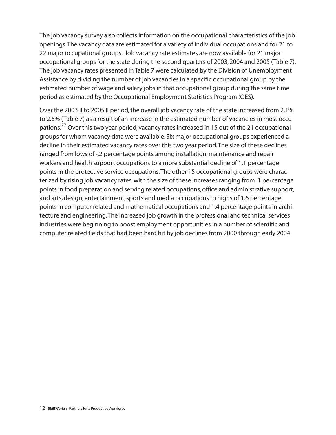The job vacancy survey also collects information on the occupational characteristics of the job openings.The vacancy data are estimated for a variety of individual occupations and for 21 to 22 major occupational groups. Job vacancy rate estimates are now available for 21 major occupational groups for the state during the second quarters of 2003, 2004 and 2005 (Table 7). The job vacancy rates presented in Table 7 were calculated by the Division of Unemployment Assistance by dividing the number of job vacancies in a specific occupational group by the estimated number of wage and salary jobs in that occupational group during the same time period as estimated by the Occupational Employment Statistics Program (OES).

Over the 2003 II to 2005 II period, the overall job vacancy rate of the state increased from 2.1% to 2.6% (Table 7) as a result of an increase in the estimated number of vacancies in most occupations.<sup>27</sup> Over this two year period, vacancy rates increased in 15 out of the 21 occupational groups for whom vacancy data were available. Six major occupational groups experienced a decline in their estimated vacancy rates over this two year period.The size of these declines ranged from lows of -.2 percentage points among installation, maintenance and repair workers and health support occupations to a more substantial decline of 1.1 percentage points in the protective service occupations.The other 15 occupational groups were characterized by rising job vacancy rates, with the size of these increases ranging from .1 percentage points in food preparation and serving related occupations, office and administrative support, and arts, design, entertainment, sports and media occupations to highs of 1.6 percentage points in computer related and mathematical occupations and 1.4 percentage points in architecture and engineering.The increased job growth in the professional and technical services industries were beginning to boost employment opportunities in a number of scientific and computer related fields that had been hard hit by job declines from 2000 through early 2004.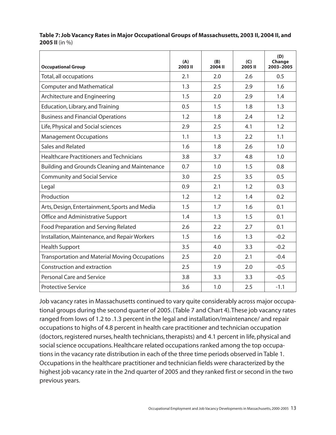| <b>Occupational Group</b>                             | (A)<br>2003 II | (B)<br>2004 II | (C)<br>2005II | (D)<br>Change<br>2003-2005 |
|-------------------------------------------------------|----------------|----------------|---------------|----------------------------|
| Total, all occupations                                | 2.1            | 2.0            | 2.6           | 0.5                        |
| <b>Computer and Mathematical</b>                      | 1.3            | 2.5            | 2.9           | 1.6                        |
| Architecture and Engineering                          | 1.5            | 2.0            | 2.9           | 1.4                        |
| Education, Library, and Training                      | 0.5            | 1.5            | 1.8           | 1.3                        |
| <b>Business and Financial Operations</b>              | 1.2            | 1.8            | 2.4           | 1.2                        |
| Life, Physical and Social sciences                    | 2.9            | 2.5            | 4.1           | 1.2                        |
| <b>Management Occupations</b>                         | 1.1            | 1.3            | 2.2           | 1.1                        |
| Sales and Related                                     | 1.6            | 1.8            | 2.6           | 1.0                        |
| <b>Healthcare Practitioners and Technicians</b>       | 3.8            | 3.7            | 4.8           | 1.0                        |
| <b>Building and Grounds Cleaning and Maintenance</b>  | 0.7            | 1.0            | 1.5           | 0.8                        |
| <b>Community and Social Service</b>                   | 3.0            | 2.5            | 3.5           | 0.5                        |
| Legal                                                 | 0.9            | 2.1            | 1.2           | 0.3                        |
| Production                                            | 1.2            | 1.2            | 1.4           | 0.2                        |
| Arts, Design, Entertainment, Sports and Media         | 1.5            | 1.7            | 1.6           | 0.1                        |
| Office and Administrative Support                     | 1.4            | 1.3            | 1.5           | 0.1                        |
| Food Preparation and Serving Related                  | 2.6            | 2.2            | 2.7           | 0.1                        |
| Installation, Maintenance, and Repair Workers         | 1.5            | 1.6            | 1.3           | $-0.2$                     |
| <b>Health Support</b>                                 | 3.5            | 4.0            | 3.3           | $-0.2$                     |
| <b>Transportation and Material Moving Occupations</b> | 2.5            | 2.0            | 2.1           | $-0.4$                     |
| Construction and extraction                           | 2.5            | 1.9            | 2.0           | $-0.5$                     |
| <b>Personal Care and Service</b>                      | 3.8            | 3.3            | 3.3           | $-0.5$                     |
| <b>Protective Service</b>                             | 3.6            | 1.0            | 2.5           | $-1.1$                     |

**Table 7: Job Vacancy Rates in Major Occupational Groups of Massachusetts, 2003 II, 2004 II, and 2005 II** (in %)

Job vacancy rates in Massachusetts continued to vary quite considerably across major occupational groups during the second quarter of 2005. (Table 7 and Chart 4).These job vacancy rates ranged from lows of 1.2 to .1.3 percent in the legal and installation/maintenance/ and repair occupations to highs of 4.8 percent in health care practitioner and technician occupation (doctors, registered nurses, health technicians, therapists) and 4.1 percent in life, physical and social science occupations. Healthcare related occupations ranked among the top occupations in the vacancy rate distribution in each of the three time periods observed in Table 1. Occupations in the healthcare practitioner and technician fields were characterized by the highest job vacancy rate in the 2nd quarter of 2005 and they ranked first or second in the two previous years.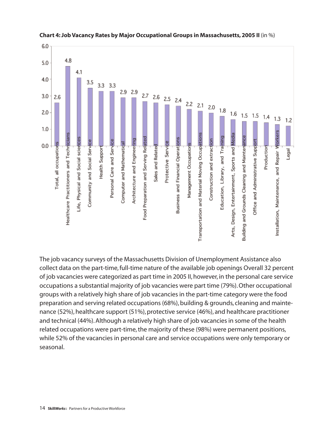



The job vacancy surveys of the Massachusetts Division of Unemployment Assistance also collect data on the part-time, full-time nature of the available job openings Overall 32 percent of job vacancies were categorized as part time in 2005 II, however, in the personal care service occupations a substantial majority of job vacancies were part time (79%). Other occupational groups with a relatively high share of job vacancies in the part-time category were the food preparation and serving related occupations (68%), building & grounds, cleaning and maintenance (52%), healthcare support (51%), protective service (46%), and healthcare practitioner and technical (44%). Although a relatively high share of job vacancies in some of the health related occupations were part-time, the majority of these (98%) were permanent positions, while 52% of the vacancies in personal care and service occupations were only temporary or seasonal.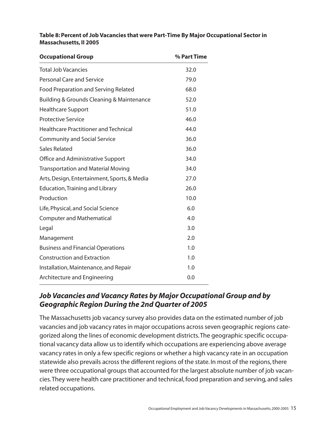## **Table 8: Percent of Job Vacancies that were Part-Time By Major Occupational Sector in Massachusetts, II 2005**

| <b>Occupational Group</b>                    | % Part Time |
|----------------------------------------------|-------------|
| <b>Total Job Vacancies</b>                   | 32.0        |
| <b>Personal Care and Service</b>             | 79.0        |
| Food Preparation and Serving Related         | 68.0        |
| Building & Grounds Cleaning & Maintenance    | 52.0        |
| <b>Healthcare Support</b>                    | 51.0        |
| <b>Protective Service</b>                    | 46.0        |
| <b>Healthcare Practitioner and Technical</b> | 44.0        |
| <b>Community and Social Service</b>          | 36.0        |
| Sales Related                                | 36.0        |
| Office and Administrative Support            | 34.0        |
| <b>Transportation and Material Moving</b>    | 34.0        |
| Arts, Design, Entertainment, Sports, & Media | 27.0        |
| <b>Education, Training and Library</b>       | 26.0        |
| Production                                   | 10.0        |
| Life, Physical, and Social Science           | 6.0         |
| <b>Computer and Mathematical</b>             | 4.0         |
| Legal                                        | 3.0         |
| Management                                   | 2.0         |
| <b>Business and Financial Operations</b>     | 1.0         |
| <b>Construction and Extraction</b>           | 1.0         |
| Installation, Maintenance, and Repair        | 1.0         |
| Architecture and Engineering                 | 0.0         |
|                                              |             |

# *Job Vacancies and Vacancy Rates by Major Occupational Group and by Geographic Region During the 2nd Quarter of 2005*

The Massachusetts job vacancy survey also provides data on the estimated number of job vacancies and job vacancy rates in major occupations across seven geographic regions categorized along the lines of economic development districts.The geographic specific occupational vacancy data allow us to identify which occupations are experiencing above average vacancy rates in only a few specific regions or whether a high vacancy rate in an occupation statewide also prevails across the different regions of the state. In most of the regions, there were three occupational groups that accounted for the largest absolute number of job vacancies.They were health care practitioner and technical, food preparation and serving, and sales related occupations.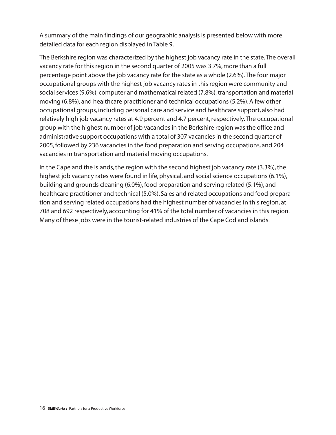A summary of the main findings of our geographic analysis is presented below with more detailed data for each region displayed in Table 9.

The Berkshire region was characterized by the highest job vacancy rate in the state.The overall vacancy rate for this region in the second quarter of 2005 was 3.7%, more than a full percentage point above the job vacancy rate for the state as a whole (2.6%).The four major occupational groups with the highest job vacancy rates in this region were community and social services (9.6%), computer and mathematical related (7.8%), transportation and material moving (6.8%), and healthcare practitioner and technical occupations (5.2%). A few other occupational groups, including personal care and service and healthcare support, also had relatively high job vacancy rates at 4.9 percent and 4.7 percent, respectively.The occupational group with the highest number of job vacancies in the Berkshire region was the office and administrative support occupations with a total of 307 vacancies in the second quarter of 2005, followed by 236 vacancies in the food preparation and serving occupations, and 204 vacancies in transportation and material moving occupations.

In the Cape and the Islands, the region with the second highest job vacancy rate (3.3%), the highest job vacancy rates were found in life, physical, and social science occupations (6.1%), building and grounds cleaning (6.0%), food preparation and serving related (5.1%), and healthcare practitioner and technical (5.0%). Sales and related occupations and food preparation and serving related occupations had the highest number of vacancies in this region, at 708 and 692 respectively, accounting for 41% of the total number of vacancies in this region. Many of these jobs were in the tourist-related industries of the Cape Cod and islands.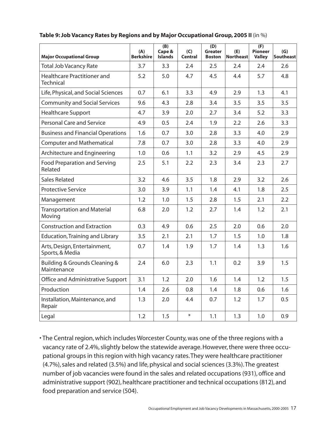| <b>Major Occupational Group</b>                 | (A)<br><b>Berkshire</b> | (B)<br>Cape &<br><b>Islands</b> | (C)<br>Central | (D)<br><b>Greater</b><br><b>Boston</b> | (E)<br><b>Northeast</b> | (F)<br><b>Pioneer</b><br><b>Valley</b> | (G)<br><b>Southeast</b> |
|-------------------------------------------------|-------------------------|---------------------------------|----------------|----------------------------------------|-------------------------|----------------------------------------|-------------------------|
| <b>Total Job Vacancy Rate</b>                   | 3.7                     | 3.3                             | 2.4            | 2.5                                    | 2.4                     | 2.4                                    | 2.6                     |
| Healthcare Practitioner and<br><b>Technical</b> | 5.2                     | 5.0                             | 4.7            | 4.5                                    | 4.4                     | 5.7                                    | 4.8                     |
| Life, Physical, and Social Sciences             | 0.7                     | 6.1                             | 3.3            | 4.9                                    | 2.9                     | 1.3                                    | 4.1                     |
| <b>Community and Social Services</b>            | 9.6                     | 4.3                             | 2.8            | 3.4                                    | 3.5                     | 3.5                                    | 3.5                     |
| <b>Healthcare Support</b>                       | 4.7                     | 3.9                             | 2.0            | 2.7                                    | 3.4                     | 5.2                                    | 3.3                     |
| <b>Personal Care and Service</b>                | 4.9                     | 0.5                             | 2.4            | 1.9                                    | 2.2                     | 2.6                                    | 3.3                     |
| <b>Business and Financial Operations</b>        | 1.6                     | 0.7                             | 3.0            | 2.8                                    | 3.3                     | 4.0                                    | 2.9                     |
| <b>Computer and Mathematical</b>                | 7.8                     | 0.7                             | 3.0            | 2.8                                    | 3.3                     | 4.0                                    | 2.9                     |
| Architecture and Engineering                    | 1.0                     | 0.6                             | 1.1            | 3.2                                    | 2.9                     | 4.5                                    | 2.9                     |
| <b>Food Preparation and Serving</b><br>Related  | 2.5                     | 5.1                             | 2.2            | 2.3                                    | 3.4                     | 2.3                                    | 2.7                     |
| <b>Sales Related</b>                            | 3.2                     | 4.6                             | 3.5            | 1.8                                    | 2.9                     | 3.2                                    | 2.6                     |
| <b>Protective Service</b>                       | 3.0                     | 3.9                             | 1.1            | 1.4                                    | 4.1                     | 1.8                                    | 2.5                     |
| Management                                      | 1.2                     | 1.0                             | 1.5            | 2.8                                    | 1.5                     | 2.1                                    | 2.2                     |
| <b>Transportation and Material</b><br>Moving    | 6.8                     | 2.0                             | 1.2            | 2.7                                    | 1.4                     | 1.2                                    | 2.1                     |
| <b>Construction and Extraction</b>              | 0.3                     | 4.9                             | 0.6            | 2.5                                    | 2.0                     | 0.6                                    | 2.0                     |
| <b>Education, Training and Library</b>          | 3.5                     | 2.1                             | 2.1            | 1.7                                    | 1.5                     | 1.0                                    | 1.8                     |
| Arts, Design, Entertainment,<br>Sports, & Media | 0.7                     | 1.4                             | 1.9            | 1.7                                    | 1.4                     | 1.3                                    | 1.6                     |
| Building & Grounds Cleaning &<br>Maintenance    | 2.4                     | 6.0                             | 2.3            | 1.1                                    | 0.2                     | 3.9                                    | 1.5                     |
| Office and Administrative Support               | 3.1                     | 1.2                             | 2.0            | 1.6                                    | 1.4                     | 1.2                                    | 1.5                     |
| Production                                      | 1.4                     | 2.6                             | 0.8            | 1.4                                    | 1.8                     | 0.6                                    | 1.6                     |
| Installation, Maintenance, and<br>Repair        | 1.3                     | 2.0                             | 4.4            | 0.7                                    | 1.2                     | 1.7                                    | 0.5                     |
| Legal                                           | 1.2                     | 1.5                             | $\ast$         | 1.1                                    | 1.3                     | 1.0                                    | 0.9                     |

## **Table 9: Job Vacancy Rates by Regions and by Major Occupational Group, 2005 II** (in %)

• The Central region, which includes Worcester County, was one of the three regions with a vacancy rate of 2.4%, slightly below the statewide average. However, there were three occupational groups in this region with high vacancy rates.They were healthcare practitioner (4.7%), sales and related (3.5%) and life, physical and social sciences (3.3%). The greatest number of job vacancies were found in the sales and related occupations (931), office and administrative support (902), healthcare practitioner and technical occupations (812), and food preparation and service (504).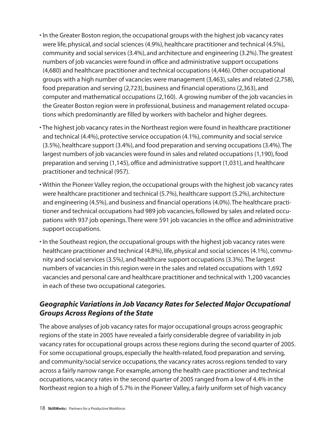- In the Greater Boston region, the occupational groups with the highest job vacancy rates were life, physical, and social sciences (4.9%), healthcare practitioner and technical (4.5%), community and social services (3.4%), and architecture and engineering (3.2%).The greatest numbers of job vacancies were found in office and administrative support occupations (4,680) and healthcare practitioner and technical occupations (4,446). Other occupational groups with a high number of vacancies were management (3,463), sales and related (2,758), food preparation and serving (2,723), business and financial operations (2,363), and computer and mathematical occupations (2,160). A growing number of the job vacancies in the Greater Boston region were in professional, business and management related occupations which predominantly are filled by workers with bachelor and higher degrees.
- The highest job vacancy rates in the Northeast region were found in healthcare practitioner and technical (4.4%), protective service occupation (4.1%), community and social service (3.5%), healthcare support (3.4%), and food preparation and serving occupations (3.4%).The largest numbers of job vacancies were found in sales and related occupations (1,190), food preparation and serving (1,145), office and administrative support (1,031), and healthcare practitioner and technical (957).
- Within the Pioneer Valley region, the occupational groups with the highest job vacancy rates were healthcare practitioner and technical (5.7%), healthcare support (5.2%), architecture and engineering (4.5%), and business and financial operations (4.0%).The healthcare practitioner and technical occupations had 989 job vacancies, followed by sales and related occupations with 937 job openings.There were 591 job vacancies in the office and administrative support occupations.
- In the Southeast region, the occupational groups with the highest job vacancy rates were healthcare practitioner and technical (4.8%), life, physical and social sciences (4.1%), community and social services (3.5%), and healthcare support occupations (3.3%).The largest numbers of vacancies in this region were in the sales and related occupations with 1,692 vacancies and personal care and healthcare practitioner and technical with 1,200 vacancies in each of these two occupational categories.

# *Geographic Variations in Job Vacancy Rates for Selected Major Occupational Groups Across Regions of the State*

The above analyses of job vacancy rates for major occupational groups across geographic regions of the state in 2005 have revealed a fairly considerable degree of variability in job vacancy rates for occupational groups across these regions during the second quarter of 2005. For some occupational groups, especially the health-related, food preparation and serving, and community/social service occupations, the vacancy rates across regions tended to vary across a fairly narrow range. For example, among the health care practitioner and technical occupations, vacancy rates in the second quarter of 2005 ranged from a low of 4.4% in the Northeast region to a high of 5.7% in the Pioneer Valley, a fairly uniform set of high vacancy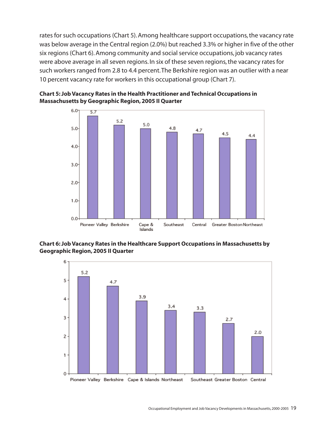rates for such occupations (Chart 5). Among healthcare support occupations, the vacancy rate was below average in the Central region (2.0%) but reached 3.3% or higher in five of the other six regions (Chart 6). Among community and social service occupations, job vacancy rates were above average in all seven regions. In six of these seven regions, the vacancy rates for such workers ranged from 2.8 to 4.4 percent.The Berkshire region was an outlier with a near 10 percent vacancy rate for workers in this occupational group (Chart 7).





**Chart 6: Job Vacancy Rates in the Healthcare Support Occupations in Massachusetts by Geographic Region,2005 II Quarter**

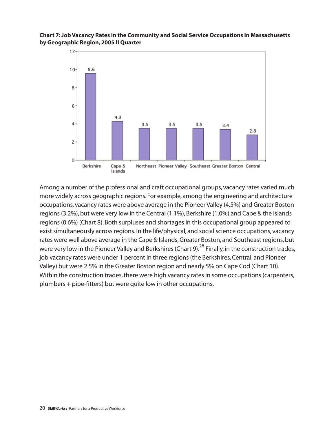## **Chart 7: Job Vacancy Rates in the Community and Social Service Occupations in Massachusetts by Geographic Region, 2005 II Quarter**



Among a number of the professional and craft occupational groups, vacancy rates varied much more widely across geographic regions. For example, among the engineering and architecture occupations, vacancy rates were above average in the Pioneer Valley (4.5%) and Greater Boston regions (3.2%), but were very low in the Central (1.1%), Berkshire (1.0%) and Cape & the Islands regions (0.6%) (Chart 8). Both surpluses and shortages in this occupational group appeared to exist simultaneously across regions. In the life/physical, and social science occupations, vacancy rates were well above average in the Cape & Islands, Greater Boston, and Southeast regions, but were very low in the Pioneer Valley and Berkshires (Chart 9).<sup>28</sup> Finally, in the construction trades, job vacancy rates were under 1 percent in three regions (the Berkshires, Central, and Pioneer Valley) but were 2.5% in the Greater Boston region and nearly 5% on Cape Cod (Chart 10). Within the construction trades, there were high vacancy rates in some occupations (carpenters, plumbers + pipe-fitters) but were quite low in other occupations.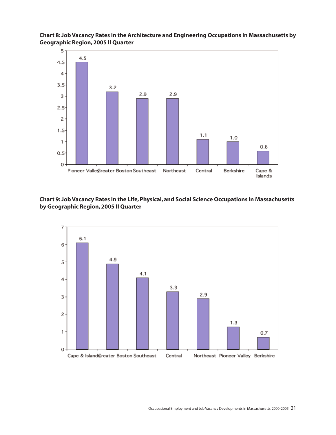

**Chart 8: Job Vacancy Rates in the Architecture and Engineering Occupations in Massachusetts by Geographic Region, 2005 II Quarter**

**Chart 9: Job Vacancy Rates in the Life, Physical, and Social Science Occupations in Massachusetts by Geographic Region, 2005 II Quarter**

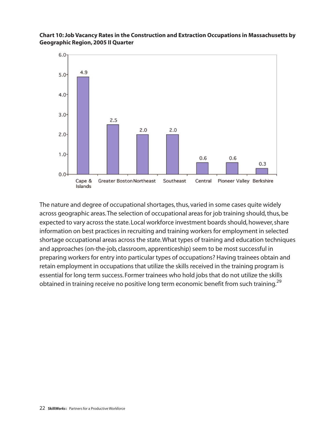

## **Chart 10: Job Vacancy Rates in the Construction and Extraction Occupations in Massachusetts by Geographic Region, 2005 II Quarter**

The nature and degree of occupational shortages, thus, varied in some cases quite widely across geographic areas.The selection of occupational areas for job training should, thus, be expected to vary across the state. Local workforce investment boards should, however, share information on best practices in recruiting and training workers for employment in selected shortage occupational areas across the state.What types of training and education techniques and approaches (on-the-job, classroom, apprenticeship) seem to be most successful in preparing workers for entry into particular types of occupations? Having trainees obtain and retain employment in occupations that utilize the skills received in the training program is essential for long term success. Former trainees who hold jobs that do not utilize the skills obtained in training receive no positive long term economic benefit from such training.<sup>29</sup>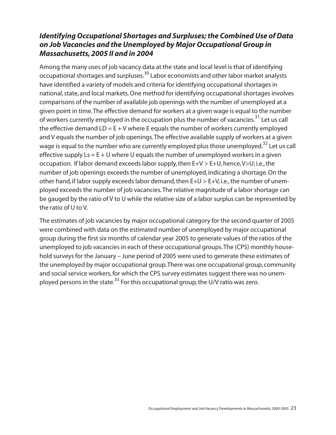# *Identifying Occupational Shortages and Surpluses; the Combined Use of Data on Job Vacancies and the Unemployed by Major Occupational Group in Massachusetts, 2005 II and in 2004*

Among the many uses of job vacancy data at the state and local level is that of identifying occupational shortages and surpluses.<sup>30</sup> Labor economists and other labor market analysts have identified a variety of models and criteria for identifying occupational shortages in national, state, and local markets. One method for identifying occupational shortages involves comparisons of the number of available job openings with the number of unemployed at a given point in time.The effective demand for workers at a given wage is equal to the number of workers currently employed in the occupation plus the number of vacancies.<sup>31</sup> Let us call the effective demand  $LD = E + V$  where E equals the number of workers currently employed and V equals the number of job openings.The effective available supply of workers at a given wage is equal to the number who are currently employed plus those unemployed.<sup>32</sup> Let us call effective supply  $Ls = E + U$  where U equals the number of unemployed workers in a given occupation. If labor demand exceeds labor supply, then E+V > E+U, hence,V>U; i.e., the number of job openings exceeds the number of unemployed, indicating a shortage. On the other hand, if labor supply exceeds labor demand, then E+U > E+V, i.e., the number of unemployed exceeds the number of job vacancies.The relative magnitude of a labor shortage can be gauged by the ratio of V to U while the relative size of a labor surplus can be represented by the ratio of U to V.

The estimates of job vacancies by major occupational category for the second quarter of 2005 were combined with data on the estimated number of unemployed by major occupational group during the first six months of calendar year 2005 to generate values of the ratios of the unemployed to job vacancies in each of these occupational groups.The (CPS) monthly household surveys for the January – June period of 2005 were used to generate these estimates of the unemployed by major occupational group.There was one occupational group, community and social service workers, for which the CPS survey estimates suggest there was no unemployed persons in the state.<sup>33</sup> For this occupational group, the U/V ratio was zero.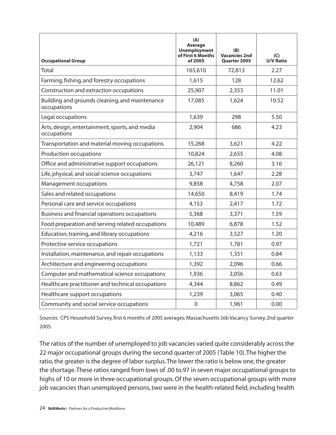| <b>Occupational Group</b>                                     | (A)<br>Average<br><b>Unemployment</b><br>of First 6 Months<br>of 2005 | (B)<br><b>Vacancies 2nd</b><br><b>Quarter 2005</b> | (C)<br><b>U/V Ratio</b> |
|---------------------------------------------------------------|-----------------------------------------------------------------------|----------------------------------------------------|-------------------------|
| Total                                                         | 165,610                                                               | 72,813                                             | 2.27                    |
| Farming, fishing, and forestry occupations                    | 1,615                                                                 | 128                                                | 12.62                   |
| Construction and extraction occupations                       | 25,907                                                                | 2,353                                              | 11.01                   |
| Building and grounds cleaning, and maintenance<br>occupations | 17,085                                                                | 1,624                                              | 10.52                   |
| Legal occupations                                             | 1,639                                                                 | 298                                                | 5.50                    |
| Arts, design, entertainment, sports, and media<br>occupations | 2,904                                                                 | 686                                                | 4.23                    |
| Transportation and material moving occupations                | 15,268                                                                | 3,621                                              | 4.22                    |
| Production occupations                                        | 10,824                                                                | 2,655                                              | 4.08                    |
| Office and administrative support occupations                 | 26,121                                                                | 8,260                                              | 3.16                    |
| Life, physical, and social science occupations                | 3,747                                                                 | 1,647                                              | 2.28                    |
| Management occupations                                        | 9,858                                                                 | 4,758                                              | 2.07                    |
| Sales and related occupations                                 | 14,650                                                                | 8,419                                              | 1.74                    |
| Personal care and service occupations                         | 4,153                                                                 | 2,417                                              | 1.72                    |
| Business and financial operations occupations                 | 5,368                                                                 | 3,371                                              | 1.59                    |
| Food preparation and serving related occupations              | 10,489                                                                | 6,878                                              | 1.52                    |
| Education, training, and library occupations                  | 4,216                                                                 | 3,527                                              | 1.20                    |
| Protective service occupations                                | 1,721                                                                 | 1,781                                              | 0.97                    |
| Installation, maintenance, and repair occupations             | 1,133                                                                 | 1,351                                              | 0.84                    |
| Architecture and engineering occupations                      | 1,392                                                                 | 2,096                                              | 0.66                    |
| Computer and mathematical science occupations                 | 1,936                                                                 | 3,056                                              | 0.63                    |
| Healthcare practitioner and technical occupations             | 4,344                                                                 | 8,862                                              | 0.49                    |
| Healthcare support occupations                                | 1,239                                                                 | 3,065                                              | 0.40                    |
| Community and social service occupations                      | $\boldsymbol{0}$                                                      | 1,961                                              | 0.00                    |

Sources: CPS Household Survey, first 6 months of 2005 averages; Massachusetts Job Vacancy Survey, 2nd quarter 2005.

The ratios of the number of unemployed to job vacancies varied quite considerably across the 22 major occupational groups during the second quarter of 2005 (Table 10).The higher the ratio, the greater is the degree of labor surplus.The lower the ratio is below one, the greater the shortage.These ratios ranged from lows of .00 to.97 in seven major occupational groups to highs of 10 or more in three occupational groups. Of the seven occupational groups with more job vacancies than unemployed persons, two were in the health-related field, including health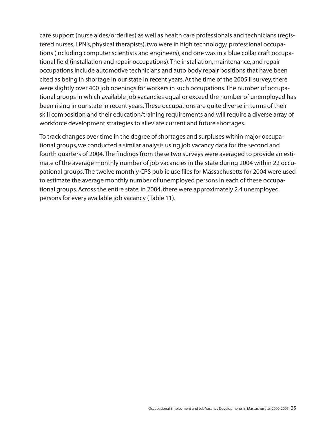care support (nurse aides/orderlies) as well as health care professionals and technicians (registered nurses, LPN's, physical therapists), two were in high technology/ professional occupations (including computer scientists and engineers), and one was in a blue collar craft occupational field (installation and repair occupations).The installation, maintenance, and repair occupations include automotive technicians and auto body repair positions that have been cited as being in shortage in our state in recent years. At the time of the 2005 II survey, there were slightly over 400 job openings for workers in such occupations.The number of occupational groups in which available job vacancies equal or exceed the number of unemployed has been rising in our state in recent years.These occupations are quite diverse in terms of their skill composition and their education/training requirements and will require a diverse array of workforce development strategies to alleviate current and future shortages.

To track changes over time in the degree of shortages and surpluses within major occupational groups, we conducted a similar analysis using job vacancy data for the second and fourth quarters of 2004.The findings from these two surveys were averaged to provide an estimate of the average monthly number of job vacancies in the state during 2004 within 22 occupational groups.The twelve monthly CPS public use files for Massachusetts for 2004 were used to estimate the average monthly number of unemployed persons in each of these occupational groups. Across the entire state, in 2004, there were approximately 2.4 unemployed persons for every available job vacancy (Table 11).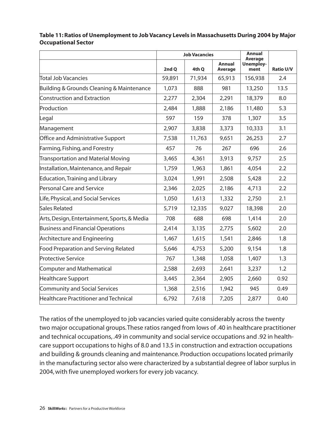|                                              | <b>Job Vacancies</b> |        |                          | <b>Annual</b><br>Average |                  |
|----------------------------------------------|----------------------|--------|--------------------------|--------------------------|------------------|
|                                              | 2nd Q                | 4th Q  | <b>Annual</b><br>Average | <b>Unemploy-</b><br>ment | <b>Ratio U/V</b> |
| Total Job Vacancies                          | 59,891               | 71,934 | 65,913                   | 156,938                  | 2.4              |
| Building & Grounds Cleaning & Maintenance    | 1,073                | 888    | 981                      | 13,250                   | 13.5             |
| Construction and Extraction                  | 2,277                | 2,304  | 2,291                    | 18,379                   | 8.0              |
| Production                                   | 2,484                | 1,888  | 2,186                    | 11,480                   | 5.3              |
| Legal                                        | 597                  | 159    | 378                      | 1,307                    | 3.5              |
| Management                                   | 2,907                | 3,838  | 3,373                    | 10,333                   | 3.1              |
| Office and Administrative Support            | 7,538                | 11,763 | 9,651                    | 26,253                   | 2.7              |
| Farming, Fishing, and Forestry               | 457                  | 76     | 267                      | 696                      | 2.6              |
| <b>Transportation and Material Moving</b>    | 3,465                | 4,361  | 3,913                    | 9,757                    | 2.5              |
| Installation, Maintenance, and Repair        | 1,759                | 1,963  | 1,861                    | 4,054                    | 2.2              |
| <b>Education, Training and Library</b>       | 3,024                | 1,991  | 2,508                    | 5,428                    | 2.2              |
| Personal Care and Service                    | 2,346                | 2,025  | 2,186                    | 4,713                    | 2.2              |
| Life, Physical, and Social Services          | 1,050                | 1,613  | 1,332                    | 2,750                    | 2.1              |
| Sales Related                                | 5,719                | 12,335 | 9,027                    | 18,398                   | 2.0              |
| Arts, Design, Entertainment, Sports, & Media | 708                  | 688    | 698                      | 1,414                    | 2.0              |
| <b>Business and Financial Operations</b>     | 2,414                | 3,135  | 2,775                    | 5,602                    | 2.0              |
| <b>Architecture and Engineering</b>          | 1,467                | 1,615  | 1,541                    | 2,846                    | 1.8              |
| <b>Food Preparation and Serving Related</b>  | 5,646                | 4,753  | 5,200                    | 9,154                    | 1.8              |
| <b>Protective Service</b>                    | 767                  | 1,348  | 1,058                    | 1,407                    | 1.3              |
| <b>Computer and Mathematical</b>             | 2,588                | 2,693  | 2,641                    | 3,237                    | 1.2              |
| <b>Healthcare Support</b>                    | 3,445                | 2,364  | 2,905                    | 2,660                    | 0.92             |
| <b>Community and Social Services</b>         | 1,368                | 2,516  | 1,942                    | 945                      | 0.49             |
| Healthcare Practitioner and Technical        | 6,792                | 7,618  | 7,205                    | 2,877                    | 0.40             |

## **Table 11: Ratios of Unemployment to Job Vacancy Levels in Massachusetts During 2004 by Major Occupational Sector**

The ratios of the unemployed to job vacancies varied quite considerably across the twenty two major occupational groups.These ratios ranged from lows of .40 in healthcare practitioner and technical occupations, .49 in community and social service occupations and .92 in healthcare support occupations to highs of 8.0 and 13.5 in construction and extraction occupations and building & grounds cleaning and maintenance. Production occupations located primarily in the manufacturing sector also were characterized by a substantial degree of labor surplus in 2004, with five unemployed workers for every job vacancy.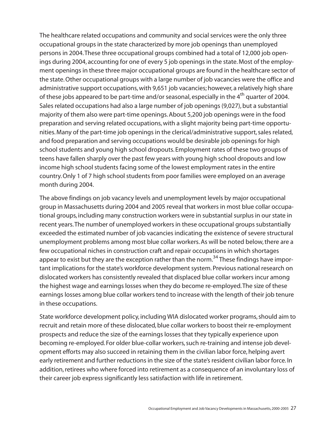The healthcare related occupations and community and social services were the only three occupational groups in the state characterized by more job openings than unemployed persons in 2004.These three occupational groups combined had a total of 12,000 job openings during 2004, accounting for one of every 5 job openings in the state. Most of the employment openings in these three major occupational groups are found in the healthcare sector of the state. Other occupational groups with a large number of job vacancies were the office and administrative support occupations, with 9,651 job vacancies; however, a relatively high share of these jobs appeared to be part-time and/or seasonal, especially in the  $4<sup>th</sup>$  quarter of 2004. Sales related occupations had also a large number of job openings (9,027), but a substantial majority of them also were part-time openings. About 5,200 job openings were in the food preparation and serving related occupations, with a slight majority being part-time opportunities. Many of the part-time job openings in the clerical/administrative support, sales related, and food preparation and serving occupations would be desirable job openings for high school students and young high school dropouts. Employment rates of these two groups of teens have fallen sharply over the past few years with young high school dropouts and low income high school students facing some of the lowest employment rates in the entire country. Only 1 of 7 high school students from poor families were employed on an average month during 2004.

The above findings on job vacancy levels and unemployment levels by major occupational group in Massachusetts during 2004 and 2005 reveal that workers in most blue collar occupational groups, including many construction workers were in substantial surplus in our state in recent years.The number of unemployed workers in these occupational groups substantially exceeded the estimated number of job vacancies indicating the existence of severe structural unemployment problems among most blue collar workers. As will be noted below, there are a few occupational niches in construction craft and repair occupations in which shortages appear to exist but they are the exception rather than the norm.<sup>34</sup> These findings have important implications for the state's workforce development system. Previous national research on dislocated workers has consistently revealed that displaced blue collar workers incur among the highest wage and earnings losses when they do become re-employed.The size of these earnings losses among blue collar workers tend to increase with the length of their job tenure in these occupations.

State workforce development policy, including WIA dislocated worker programs, should aim to recruit and retain more of these dislocated, blue collar workers to boost their re-employment prospects and reduce the size of the earnings losses that they typically experience upon becoming re-employed. For older blue-collar workers, such re-training and intense job development efforts may also succeed in retaining them in the civilian labor force, helping avert early retirement and further reductions in the size of the state's resident civilian labor force. In addition, retirees who where forced into retirement as a consequence of an involuntary loss of their career job express significantly less satisfaction with life in retirement.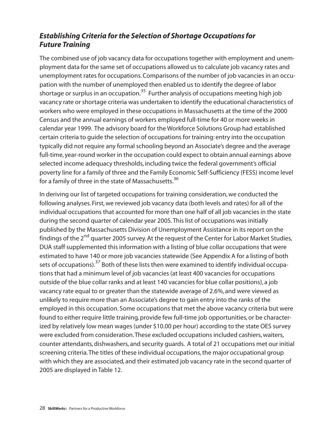# *Establishing Criteria for the Selection of Shortage Occupations for Future Training*

The combined use of job vacancy data for occupations together with employment and unemployment data for the same set of occupations allowed us to calculate job vacancy rates and unemployment rates for occupations. Comparisons of the number of job vacancies in an occupation with the number of unemployed then enabled us to identify the degree of labor shortage or surplus in an occupation.<sup>35</sup> Further analysis of occupations meeting high job vacancy rate or shortage criteria was undertaken to identify the educational characteristics of workers who were employed in these occupations in Massachusetts at the time of the 2000 Census and the annual earnings of workers employed full-time for 40 or more weeks in calendar year 1999. The advisory board for the Workforce Solutions Group had established certain criteria to guide the selection of occupations for training: entry into the occupation typically did not require any formal schooling beyond an Associate's degree and the average full-time, year-round worker in the occupation could expect to obtain annual earnings above selected income adequacy thresholds, including twice the federal government's official poverty line for a family of three and the Family Economic Self-Sufficiency (FESS) income level for a family of three in the state of Massachusetts.<sup>36</sup>

In deriving our list of targeted occupations for training consideration, we conducted the following analyses. First, we reviewed job vacancy data (both levels and rates) for all of the individual occupations that accounted for more than one half of all job vacancies in the state during the second quarter of calendar year 2005.This list of occupations was initially published by the Massachusetts Division of Unemployment Assistance in its report on the findings of the 2<sup>nd</sup> quarter 2005 survey. At the request of the Center for Labor Market Studies, DUA staff supplemented this information with a listing of blue collar occupations that were estimated to have 140 or more job vacancies statewide (See Appendix A for a listing of both sets of occupations).<sup>37</sup> Both of these lists then were examined to identify individual occupations that had a minimum level of job vacancies (at least 400 vacancies for occupations outside of the blue collar ranks and at least 140 vacancies for blue collar positions), a job vacancy rate equal to or greater than the statewide average of 2.6%, and were viewed as unlikely to require more than an Associate's degree to gain entry into the ranks of the employed in this occupation. Some occupations that met the above vacancy criteria but were found to either require little training, provide few full-time job opportunities, or be characterized by relatively low mean wages (under \$10.00 per hour) according to the state OES survey were excluded from consideration.These excluded occupations included cashiers, waiters, counter attendants, dishwashers, and security guards. A total of 21 occupations met our initial screening criteria.The titles of these individual occupations, the major occupational group with which they are associated, and their estimated job vacancy rate in the second quarter of 2005 are displayed in Table 12.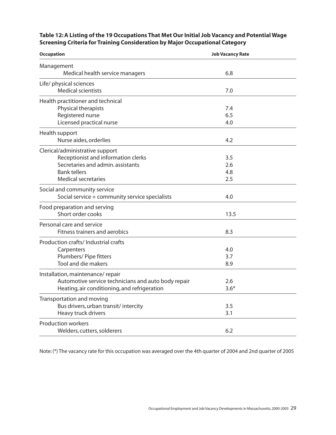## **Table 12: A Listing of the 19 Occupations That Met Our Initial Job Vacancy and Potential Wage Screening Criteria for Training Consideration by Major Occupational Category**

| <b>Occupation</b>                                   | <b>Job Vacancy Rate</b> |  |
|-----------------------------------------------------|-------------------------|--|
| Management                                          |                         |  |
| Medical health service managers                     | 6.8                     |  |
| Life/ physical sciences                             |                         |  |
| <b>Medical scientists</b>                           | 7.0                     |  |
| Health practitioner and technical                   |                         |  |
| Physical therapists                                 | 7.4                     |  |
| Registered nurse                                    | 6.5                     |  |
| Licensed practical nurse                            | 4.0                     |  |
| Health support                                      |                         |  |
| Nurse aides, orderlies                              | 4.2                     |  |
| Clerical/administrative support                     |                         |  |
| Receptionist and information clerks                 | 3.5                     |  |
| Secretaries and admin. assistants                   | 2.6                     |  |
| <b>Bank tellers</b>                                 | 4.8                     |  |
| <b>Medical secretaries</b>                          | 2.5                     |  |
| Social and community service                        |                         |  |
| Social service + community service specialists      | 4.0                     |  |
| Food preparation and serving                        |                         |  |
| Short order cooks                                   | 13.5                    |  |
| Personal care and service                           |                         |  |
| Fitness trainers and aerobics                       | 8.3                     |  |
| Production crafts/ Industrial crafts                |                         |  |
| Carpenters                                          | 4.0                     |  |
| Plumbers/ Pipe fitters                              | 3.7                     |  |
| Tool and die makers                                 | 8.9                     |  |
| Installation, maintenance/repair                    |                         |  |
| Automotive service technicians and auto body repair | 2.6                     |  |
| Heating, air conditioning, and refrigeration        | $3.6*$                  |  |
| Transportation and moving                           |                         |  |
| Bus drivers, urban transit/intercity                | 3.5                     |  |
| Heavy truck drivers                                 | 3.1                     |  |
| <b>Production workers</b>                           |                         |  |
| Welders, cutters, solderers                         | 6.2                     |  |

Note: (\*) The vacancy rate for this occupation was averaged over the 4th quarter of 2004 and 2nd quarter of 2005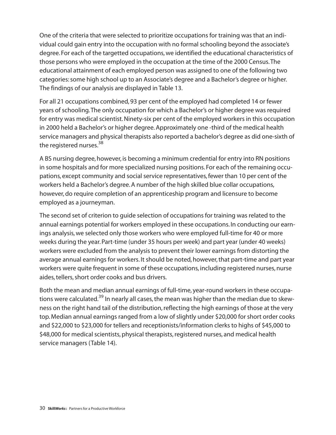One of the criteria that were selected to prioritize occupations for training was that an individual could gain entry into the occupation with no formal schooling beyond the associate's degree. For each of the targetted occupations, we identified the educational characteristics of those persons who were employed in the occupation at the time of the 2000 Census.The educational attainment of each employed person was assigned to one of the following two categories: some high school up to an Associate's degree and a Bachelor's degree or higher. The findings of our analysis are displayed in Table 13.

For all 21 occupations combined, 93 per cent of the employed had completed 14 or fewer years of schooling.The only occupation for which a Bachelor's or higher degree was required for entry was medical scientist. Ninety-six per cent of the employed workers in this occupation in 2000 held a Bachelor's or higher degree. Approximately one -third of the medical health service managers and physical therapists also reported a bachelor's degree as did one-sixth of the registered nurses.<sup>38</sup>

A BS nursing degree, however, is becoming a minimum credential for entry into RN positions in some hospitals and for more specialized nursing positions. For each of the remaining occupations, except community and social service representatives, fewer than 10 per cent of the workers held a Bachelor's degree. A number of the high skilled blue collar occupations, however,do require completion of an apprenticeship program and licensure to become employed as a journeyman.

The second set of criterion to guide selection of occupations for training was related to the annual earnings potential for workers employed in these occupations. In conducting our earnings analysis,we selected only those workers who were employed full-time for 40 or more weeks during the year. Part-time (under 35 hours per week) and part year (under 40 weeks) workers were excluded from the analysis to prevent their lower earnings from distorting the average annual earnings for workers. It should be noted, however, that part-time and part year workers were quite frequent in some of these occupations, including registered nurses, nurse aides, tellers, short order cooks and bus drivers.

Both the mean and median annual earnings of full-time, year-round workers in these occupations were calculated.<sup>39</sup> In nearly all cases, the mean was higher than the median due to skewness on the right hand tail of the distribution, reflecting the high earnings of those at the very top. Median annual earnings ranged from a low of slightly under \$20,000 for short order cooks and \$22,000 to \$23,000 for tellers and receptionists/information clerks to highs of \$45,000 to \$48,000 for medical scientists, physical therapists, registered nurses, and medical health service managers (Table 14).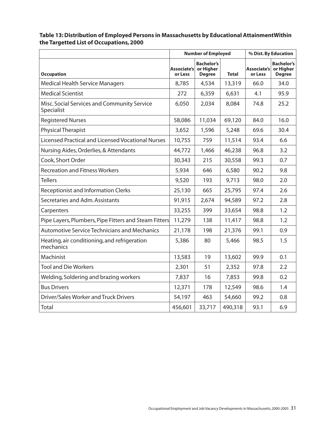#### **Number of Employed % Dist. By Education Occupation Associate's or Less Bachelor's or Higher Degree Total Associate's or Less Bachelor's or Higher Degree** Medical Health Service Managers 8,785 | 4,534 | 13,319 | 66.0 | 34.0 Medical Scientist 272 6,359 6,631 4.1 95.9 Misc. Social Services and Community Service Specialist 6,050 2,034 8,084 74.8 25.2 Registered Nurses 16.0 11,034 | 69,120 | 84.0 | 16.0 Physical Therapist 2004 1,596 1,596 1,596 1,596 1,596 1,596 1,596 1,596 1,596 1,596 1,596 1,596 1,596 1,596 1,596 1,596 1,596 1,596 1,596 1,596 1,596 1,596 1,596 1,596 1,596 1,596 1,596 1,596 1,596 1,596 1,596 1,596 1,596 Licensed Practical and Licensed Vocational Nurses 10,755 759 11,514 93.4 6.6 Nursing Aides, Orderlies, & Attendants 44,772 | 1,466 | 46,238 | 96.8 | 3.2 Cook, Short Order 30,343 215 30,558 99.3 0.7 Recreation and Fitness Workers 5,934 646 6,580 90.2 9.8 Tellers 9,520 193 9,713 98.0 2.0 Receptionist and Information Clerks 25,130 665 25,795 97.4 2.6 Secretaries and Adm. Assistants  $91.915 \mid 2.674 \mid 94.589 \mid 97.2 \mid 2.8$ Carpenters 23,255 399 33,654 98.8 1.2 Pipe Layers, Plumbers, Pipe Fitters and Steam Fitters 11,279 138 11,417 98.8 1.2 Automotive Service Technicians and Mechanics 21,178 198 21,376 99.1 0.9 Heating, air conditioning, and refrigeration mechanics 5,386 80 5,466 98.5 1.5 Machinist 13,583 19 13,602 99.9 0.1 Tool and Die Workers 2,301 51 2,352 97.8 2.2 Welding, Soldering and brazing workers  $\begin{array}{|l|c|c|c|c|c|c|c|} \hline 7,837 & 16 & 7,853 & 99.8 & 0.2 \ \hline \end{array}$ Bus Drivers 12,371 178 12,549 98.6 1.4 Driver/Sales Worker and Truck Drivers  $\begin{array}{|c|c|c|c|c|c|c|c|c|} \hline 54,197 & 463 & 54,660 & 99.2 & 0.8 \ \hline \end{array}$ Total 456,601 33,717 490,318 93.1 6.9

## **Table 13: Distribution of Employed Persons in Massachusetts by Educational AttainmentWithin the Targetted List of Occupations, 2000**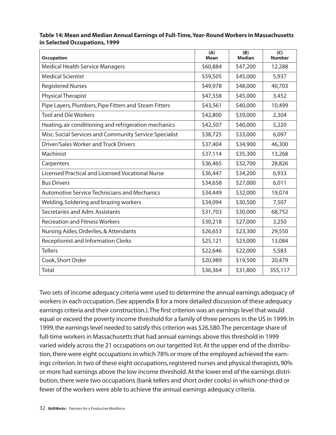#### **Table 14: Mean and Median Annual Earnings of Full-Time,Year-Round Workers in Massachusetts in Selected Occupations, 1999**

| <b>Occupation</b>                                      | (A)<br><b>Mean</b> | (B)<br><b>Median</b> | (C)<br><b>Number</b> |
|--------------------------------------------------------|--------------------|----------------------|----------------------|
| <b>Medical Health Service Managers</b>                 | \$60,884           | \$47,200             | 12,288               |
| <b>Medical Scientist</b>                               | \$59,505           | \$45,000             | 5,937                |
| <b>Registered Nurses</b>                               | \$49,978           | \$48,000             | 40,703               |
| <b>Physical Therapist</b>                              | \$47,558           | \$45,000             | 3,452                |
| Pipe Layers, Plumbers, Pipe Fitters and Steam Fitters  | \$43,561           | \$40,000             | 10,499               |
| <b>Tool and Die Workers</b>                            | \$42,800           | \$39,000             | 2,304                |
| Heating, air conditioning and refrigeration mechanics  | \$42,507           | \$40,000             | 5,220                |
| Misc. Social Services and Community Service Specialist | \$38,725           | \$33,000             | 6,097                |
| <b>Driver/Sales Worker and Truck Drivers</b>           | \$37,404           | \$34,900             | 46,300               |
| Machinist                                              | \$37,114           | \$35,300             | 13,268               |
| Carpenters                                             | \$36,465           | \$32,700             | 28,826               |
| Licensed Practical and Licensed Vocational Nurse       | \$36,447           | \$34,200             | 6,933                |
| <b>Bus Drivers</b>                                     | \$34,658           | \$27,000             | 6,011                |
| <b>Automotive Service Technicians and Mechanics</b>    | \$34,449           | \$32,000             | 19,074               |
| Welding, Soldering and brazing workers                 | \$34,094           | \$30,500             | 7,507                |
| Secretaries and Adm. Assistants                        | \$31,703           | \$30,000             | 68,752               |
| <b>Recreation and Fitness Workers</b>                  | \$30,218           | \$27,000             | 3,250                |
| Nursing Aides, Orderlies, & Attendants                 | \$26,653           | \$23,300             | 29,550               |
| <b>Receptionist and Information Clerks</b>             | \$25,121           | \$23,000             | 13,084               |
| <b>Tellers</b>                                         | \$22,646           | \$22,000             | 5,583                |
| Cook, Short Order                                      | \$20,989           | \$19,500             | 20,479               |
| Total                                                  | \$36,364           | \$31,800             | 355,117              |

Two sets of income adequacy criteria were used to determine the annual earnings adequacy of workers in each occupation. (See appendix B for a more detailed discussion of these adequacy earnings criteria and their construction.).The first criterion was an earnings level that would equal or exceed the poverty income threshold for a family of three persons in the US in 1999. In 1999, the earnings level needed to satisfy this criterion was \$26,580.The percentage share of full-time workers in Massachusetts that had annual earnings above this threshold in 1999 varied widely across the 21 occupations on our targetted list. At the upper end of the distribution,there were eight occupations in which 78% or more of the employed achieved the earnings criterion. In two of these eight occupations, registered nurses and physical therapists, 90% or more had earnings above the low income threshold. At the lower end of the earnings distribution, there were two occupations (bank tellers and short order cooks) in which one-third or fewer of the workers were able to achieve the annual earnings adequacy criteria.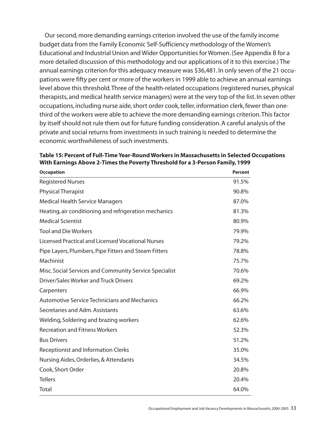Our second, more demanding earnings criterion involved the use of the family income budget data from the Family Economic Self-Sufficiency methodology of the Women's Educational and Industrial Union and Wider Opportunities for Women. (See Appendix B for a more detailed discussion of this methodology and our applications of it to this exercise.) The annual earnings criterion for this adequacy measure was \$36,481. In only seven of the 21 occupations were fifty per cent or more of the workers in 1999 able to achieve an annual earnings level above this threshold.Three of the health-related occupations (registered nurses, physical therapists, and medical health service managers) were at the very top of the list. In seven other occupations, including nurse aide, short order cook, teller, information clerk, fewer than onethird of the workers were able to achieve the more demanding earnings criterion.This factor by itself should not rule them out for future funding consideration. A careful analysis of the private and social returns from investments in such training is needed to determine the economic worthwhileness of such investments.

| <b>Occupation</b>                                      | <b>Percent</b> |
|--------------------------------------------------------|----------------|
| <b>Registered Nurses</b>                               | 91.5%          |
| <b>Physical Therapist</b>                              | 90.8%          |
| <b>Medical Health Service Managers</b>                 | 87.0%          |
| Heating, air conditioning and refrigeration mechanics  | 81.3%          |
| <b>Medical Scientist</b>                               | 80.9%          |
| <b>Tool and Die Workers</b>                            | 79.9%          |
| Licensed Practical and Licensed Vocational Nurses      | 79.2%          |
| Pipe Layers, Plumbers, Pipe Fitters and Steam Fitters  | 78.8%          |
| Machinist                                              | 75.7%          |
| Misc. Social Services and Community Service Specialist | 70.6%          |
| Driver/Sales Worker and Truck Drivers                  | 69.2%          |
| Carpenters                                             | 66.9%          |
| <b>Automotive Service Technicians and Mechanics</b>    | 66.2%          |
| Secretaries and Adm. Assistants                        | 63.6%          |
| Welding, Soldering and brazing workers                 | 62.6%          |
| <b>Recreation and Fitness Workers</b>                  | 52.3%          |
| <b>Bus Drivers</b>                                     | 51.2%          |
| <b>Receptionist and Information Clerks</b>             | 35.0%          |
| Nursing Aides, Orderlies, & Attendants                 | 34.5%          |
| Cook, Short Order                                      | 20.8%          |
| <b>Tellers</b>                                         | 20.4%          |
| Total                                                  | 64.0%          |

**Table 15: Percent of Full-Time Year-Round Workers in Massachusetts in Selected Occupations With Earnings Above 2-Times the Poverty Threshold for a 3-Person Family, 1999**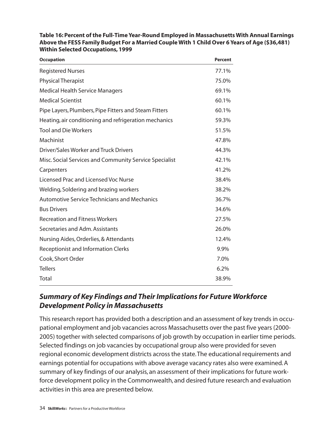| <b>Occupation</b>                                      | <b>Percent</b> |
|--------------------------------------------------------|----------------|
| <b>Registered Nurses</b>                               | 77.1%          |
| <b>Physical Therapist</b>                              | 75.0%          |
| <b>Medical Health Service Managers</b>                 | 69.1%          |
| <b>Medical Scientist</b>                               | 60.1%          |
| Pipe Layers, Plumbers, Pipe Fitters and Steam Fitters  | 60.1%          |
| Heating, air conditioning and refrigeration mechanics  | 59.3%          |
| <b>Tool and Die Workers</b>                            | 51.5%          |
| Machinist                                              | 47.8%          |
| Driver/Sales Worker and Truck Drivers                  | 44.3%          |
| Misc. Social Services and Community Service Specialist | 42.1%          |
| Carpenters                                             | 41.2%          |
| Licensed Prac and Licensed Voc Nurse                   | 38.4%          |
| Welding, Soldering and brazing workers                 | 38.2%          |
| <b>Automotive Service Technicians and Mechanics</b>    | 36.7%          |
| <b>Bus Drivers</b>                                     | 34.6%          |
| <b>Recreation and Fitness Workers</b>                  | 27.5%          |
| Secretaries and Adm. Assistants                        | 26.0%          |
| Nursing Aides, Orderlies, & Attendants                 | 12.4%          |
| <b>Receptionist and Information Clerks</b>             | 9.9%           |
| Cook, Short Order                                      | 7.0%           |
| <b>Tellers</b>                                         | 6.2%           |
| Total                                                  | 38.9%          |

**Table 16: Percent of the Full-Time Year-Round Employed in Massachusetts With Annual Earnings Above the FESS Family Budget For a Married Couple With 1 Child Over 6 Years of Age (\$36,481) Within Selected Occupations, 1999**

## *Summary of Key Findings and Their Implications for Future Workforce Development Policy in Massachusetts*

This research report has provided both a description and an assessment of key trends in occupational employment and job vacancies across Massachusetts over the past five years (2000- 2005) together with selected comparisons of job growth by occupation in earlier time periods. Selected findings on job vacancies by occupational group also were provided for seven regional economic development districts across the state.The educational requirements and earnings potential for occupations with above average vacancy rates also were examined. A summary of key findings of our analysis, an assessment of their implications for future workforce development policy in the Commonwealth, and desired future research and evaluation activities in this area are presented below.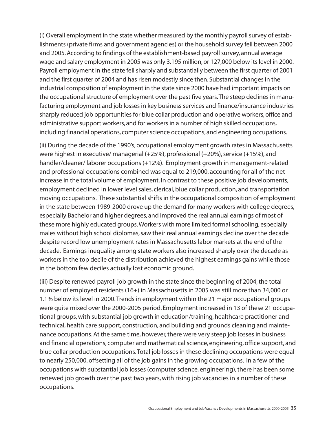(i) Overall employment in the state whether measured by the monthly payroll survey of establishments (private firms and government agencies) or the household survey fell between 2000 and 2005. According to findings of the establishment-based payroll survey, annual average wage and salary employment in 2005 was only 3.195 million, or 127,000 below its level in 2000. Payroll employment in the state fell sharply and substantially between the first quarter of 2001 and the first quarter of 2004 and has risen modestly since then. Substantial changes in the industrial composition of employment in the state since 2000 have had important impacts on the occupational structure of employment over the past five years.The steep declines in manufacturing employment and job losses in key business services and finance/insurance industries sharply reduced job opportunities for blue collar production and operative workers, office and administrative support workers, and for workers in a number of high skilled occupations, including financial operations, computer science occupations, and engineering occupations.

(ii) During the decade of the 1990's, occupational employment growth rates in Massachusetts were highest in executive/ managerial (+25%), professional (+20%), service (+15%), and handler/cleaner/ laborer occupations (+12%). Employment growth in management-related and professional occupations combined was equal to 219,000, accounting for all of the net increase in the total volume of employment. In contrast to these positive job developments, employment declined in lower level sales, clerical, blue collar production, and transportation moving occupations. These substantial shifts in the occupational composition of employment in the state between 1989-2000 drove up the demand for many workers with college degrees, especially Bachelor and higher degrees, and improved the real annual earnings of most of these more highly educated groups.Workers with more limited formal schooling, especially males without high school diplomas, saw their real annual earnings decline over the decade despite record low unemployment rates in Massachusetts labor markets at the end of the decade. Earnings inequality among state workers also increased sharply over the decade as workers in the top decile of the distribution achieved the highest earnings gains while those in the bottom few deciles actually lost economic ground.

(iii) Despite renewed payroll job growth in the state since the beginning of 2004, the total number of employed residents (16+) in Massachusetts in 2005 was still more than 34,000 or 1.1% below its level in 2000.Trends in employment within the 21 major occupational groups were quite mixed over the 2000-2005 period. Employment increased in 13 of these 21 occupational groups, with substantial job growth in education/training, healthcare practitioner and technical, health care support, construction, and building and grounds cleaning and maintenance occupations. At the same time, however, there were very steep job losses in business and financial operations, computer and mathematical science, engineering, office support, and blue collar production occupations.Total job losses in these declining occupations were equal to nearly 250,000, offsetting all of the job gains in the growing occupations. In a few of the occupations with substantial job losses (computer science, engineering), there has been some renewed job growth over the past two years, with rising job vacancies in a number of these occupations.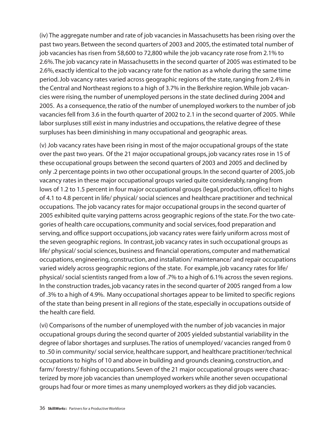(iv) The aggregate number and rate of job vacancies in Massachusetts has been rising over the past two years. Between the second quarters of 2003 and 2005, the estimated total number of job vacancies has risen from 58,600 to 72,800 while the job vacancy rate rose from 2.1% to 2.6%.The job vacancy rate in Massachusetts in the second quarter of 2005 was estimated to be 2.6%, exactly identical to the job vacancy rate for the nation as a whole during the same time period. Job vacancy rates varied across geographic regions of the state, ranging from 2.4% in the Central and Northeast regions to a high of 3.7% in the Berkshire region.While job vacancies were rising, the number of unemployed persons in the state declined during 2004 and 2005. As a consequence, the ratio of the number of unemployed workers to the number of job vacancies fell from 3.6 in the fourth quarter of 2002 to 2.1 in the second quarter of 2005. While labor surpluses still exist in many industries and occupations, the relative degree of these surpluses has been diminishing in many occupational and geographic areas.

(v) Job vacancy rates have been rising in most of the major occupational groups of the state over the past two years. Of the 21 major occupational groups, job vacancy rates rose in 15 of these occupational groups between the second quarters of 2003 and 2005 and declined by only .2 percentage points in two other occupational groups. In the second quarter of 2005, job vacancy rates in these major occupational groups varied quite considerably, ranging from lows of 1.2 to 1.5 percent in four major occupational groups (legal, production, office) to highs of 4.1 to 4.8 percent in life/ physical/ social sciences and healthcare practitioner and technical occupations. The job vacancy rates for major occupational groups in the second quarter of 2005 exhibited quite varying patterns across geographic regions of the state. For the two categories of health care occupations, community and social services, food preparation and serving, and office support occupations, job vacancy rates were fairly uniform across most of the seven geographic regions. In contrast, job vacancy rates in such occupational groups as life/ physical/ social sciences, business and financial operations, computer and mathematical occupations, engineering, construction, and installation/ maintenance/ and repair occupations varied widely across geographic regions of the state. For example, job vacancy rates for life/ physical/ social scientists ranged from a low of .7% to a high of 6.1% across the seven regions. In the construction trades, job vacancy rates in the second quarter of 2005 ranged from a low of .3% to a high of 4.9%. Many occupational shortages appear to be limited to specific regions of the state than being present in all regions of the state, especially in occupations outside of the health care field.

(vi) Comparisons of the number of unemployed with the number of job vacancies in major occupational groups during the second quarter of 2005 yielded substantial variability in the degree of labor shortages and surpluses.The ratios of unemployed/ vacancies ranged from 0 to .50 in community/ social service, healthcare support, and healthcare practitioner/technical occupations to highs of 10 and above in building and grounds cleaning, construction, and farm/ forestry/ fishing occupations. Seven of the 21 major occupational groups were characterized by more job vacancies than unemployed workers while another seven occupational groups had four or more times as many unemployed workers as they did job vacancies.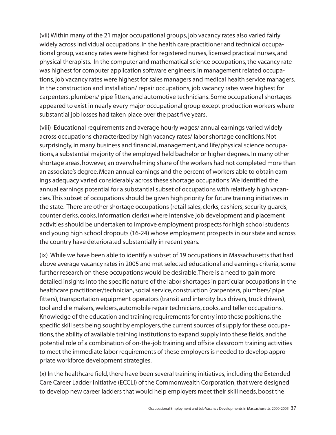(vii) Within many of the 21 major occupational groups, job vacancy rates also varied fairly widely across individual occupations. In the health care practitioner and technical occupational group, vacancy rates were highest for registered nurses, licensed practical nurses, and physical therapists. In the computer and mathematical science occupations, the vacancy rate was highest for computer application software engineers. In management related occupations, job vacancy rates were highest for sales managers and medical health service managers. In the construction and installation/ repair occupations, job vacancy rates were highest for carpenters, plumbers/ pipe fitters, and automotive technicians. Some occupational shortages appeared to exist in nearly every major occupational group except production workers where substantial job losses had taken place over the past five years.

(viii) Educational requirements and average hourly wages/ annual earnings varied widely across occupations characterized by high vacancy rates/ labor shortage conditions. Not surprisingly, in many business and financial, management, and life/physical science occupations, a substantial majority of the employed held bachelor or higher degrees. In many other shortage areas, however, an overwhelming share of the workers had not completed more than an associate's degree. Mean annual earnings and the percent of workers able to obtain earnings adequacy varied considerably across these shortage occupations.We identified the annual earnings potential for a substantial subset of occupations with relatively high vacancies.This subset of occupations should be given high priority for future training initiatives in the state. There are other shortage occupations (retail sales, clerks, cashiers, security guards, counter clerks, cooks, information clerks) where intensive job development and placement activities should be undertaken to improve employment prospects for high school students and young high school dropouts (16-24) whose employment prospects in our state and across the country have deteriorated substantially in recent years.

(ix) While we have been able to identify a subset of 19 occupations in Massachusetts that had above average vacancy rates in 2005 and met selected educational and earnings criteria, some further research on these occupations would be desirable.There is a need to gain more detailed insights into the specific nature of the labor shortages in particular occupations in the healthcare practitioner/technician, social service, construction (carpenters, plumbers/ pipe fitters), transportation equipment operators (transit and intercity bus drivers, truck drivers), tool and die makers, welders, automobile repair technicians, cooks, and teller occupations. Knowledge of the education and training requirements for entry into these positions, the specific skill sets being sought by employers, the current sources of supply for these occupations, the ability of available training institutions to expand supply into these fields, and the potential role of a combination of on-the-job training and offsite classroom training activities to meet the immediate labor requirements of these employers is needed to develop appropriate workforce development strategies.

(x) In the healthcare field, there have been several training initiatives, including the Extended Care Career Ladder Initiative (ECCLI) of the Commonwealth Corporation, that were designed to develop new career ladders that would help employers meet their skill needs, boost the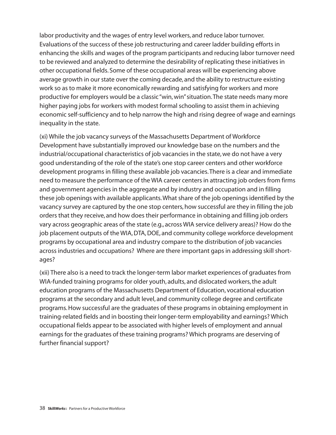labor productivity and the wages of entry level workers, and reduce labor turnover. Evaluations of the success of these job restructuring and career ladder building efforts in enhancing the skills and wages of the program participants and reducing labor turnover need to be reviewed and analyzed to determine the desirability of replicating these initiatives in other occupational fields. Some of these occupational areas will be experiencing above average growth in our state over the coming decade, and the ability to restructure existing work so as to make it more economically rewarding and satisfying for workers and more productive for employers would be a classic "win, win"situation.The state needs many more higher paying jobs for workers with modest formal schooling to assist them in achieving economic self-sufficiency and to help narrow the high and rising degree of wage and earnings inequality in the state.

(xi) While the job vacancy surveys of the Massachusetts Department of Workforce Development have substantially improved our knowledge base on the numbers and the industrial/occupational characteristics of job vacancies in the state, we do not have a very good understanding of the role of the state's one stop career centers and other workforce development programs in filling these available job vacancies.There is a clear and immediate need to measure the performance of the WIA career centers in attracting job orders from firms and government agencies in the aggregate and by industry and occupation and in filling these job openings with available applicants.What share of the job openings identified by the vacancy survey are captured by the one stop centers, how successful are they in filling the job orders that they receive, and how does their performance in obtaining and filling job orders vary across geographic areas of the state (e.g., across WIA service delivery areas)? How do the job placement outputs of the WIA, DTA, DOE, and community college workforce development programs by occupational area and industry compare to the distribution of job vacancies across industries and occupations? Where are there important gaps in addressing skill shortages?

(xii) There also is a need to track the longer-term labor market experiences of graduates from WIA-funded training programs for older youth, adults, and dislocated workers, the adult education programs of the Massachusetts Department of Education, vocational education programs at the secondary and adult level, and community college degree and certificate programs. How successful are the graduates of these programs in obtaining employment in training-related fields and in boosting their longer-term employability and earnings? Which occupational fields appear to be associated with higher levels of employment and annual earnings for the graduates of these training programs? Which programs are deserving of further financial support?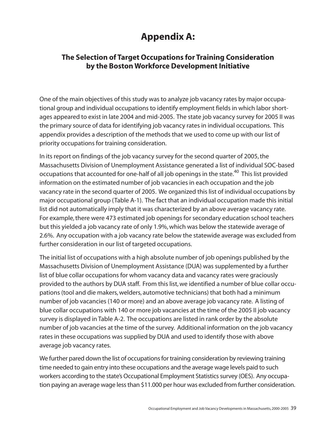# **Appendix A:**

## **The Selection of Target Occupations for Training Consideration by the Boston Workforce Development Initiative**

One of the main objectives of this study was to analyze job vacancy rates by major occupational group and individual occupations to identify employment fields in which labor shortages appeared to exist in late 2004 and mid-2005. The state job vacancy survey for 2005 II was the primary source of data for identifying job vacancy rates in individual occupations. This appendix provides a description of the methods that we used to come up with our list of priority occupations for training consideration.

In its report on findings of the job vacancy survey for the second quarter of 2005, the Massachusetts Division of Unemployment Assistance generated a list of individual SOC-based occupations that accounted for one-half of all job openings in the state.<sup>40</sup> This list provided information on the estimated number of job vacancies in each occupation and the job vacancy rate in the second quarter of 2005. We organized this list of individual occupations by major occupational group (Table A-1). The fact that an individual occupation made this initial list did not automatically imply that it was characterized by an above average vacancy rate. For example, there were 473 estimated job openings for secondary education school teachers but this yielded a job vacancy rate of only 1.9%, which was below the statewide average of 2.6%. Any occupation with a job vacancy rate below the statewide average was excluded from further consideration in our list of targeted occupations.

The initial list of occupations with a high absolute number of job openings published by the Massachusetts Division of Unemployment Assistance (DUA) was supplemented by a further list of blue collar occupations for whom vacancy data and vacancy rates were graciously provided to the authors by DUA staff. From this list, we identified a number of blue collar occupations (tool and die makers, welders, automotive technicians) that both had a minimum number of job vacancies (140 or more) and an above average job vacancy rate. A listing of blue collar occupations with 140 or more job vacancies at the time of the 2005 II job vacancy survey is displayed in Table A-2. The occupations are listed in rank order by the absolute number of job vacancies at the time of the survey. Additional information on the job vacancy rates in these occupations was supplied by DUA and used to identify those with above average job vacancy rates.

We further pared down the list of occupations for training consideration by reviewing training time needed to gain entry into these occupations and the average wage levels paid to such workers according to the state's Occupational Employment Statistics survey (OES). Any occupation paying an average wage less than \$11.000 per hour was excluded from further consideration.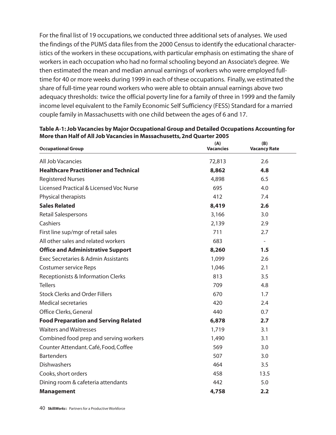For the final list of 19 occupations, we conducted three additional sets of analyses. We used the findings of the PUMS data files from the 2000 Census to identify the educational characteristics of the workers in these occupations, with particular emphasis on estimating the share of workers in each occupation who had no formal schooling beyond an Associate's degree. We then estimated the mean and median annual earnings of workers who were employed fulltime for 40 or more weeks during 1999 in each of these occupations. Finally, we estimated the share of full-time year round workers who were able to obtain annual earnings above two adequacy thresholds: twice the official poverty line for a family of three in 1999 and the family income level equivalent to the Family Economic Self Sufficiency (FESS) Standard for a married couple family in Massachusetts with one child between the ages of 6 and 17.

| <b>Occupational Group</b>                    | (A)<br><b>Vacancies</b> | (B)<br><b>Vacancy Rate</b> |
|----------------------------------------------|-------------------------|----------------------------|
| All Job Vacancies                            | 72,813                  | 2.6                        |
| <b>Healthcare Practitioner and Technical</b> | 8,862                   | 4.8                        |
| <b>Registered Nurses</b>                     | 4,898                   | 6.5                        |
| Licensed Practical & Licensed Voc Nurse      | 695                     | 4.0                        |
| Physical therapists                          | 412                     | 7.4                        |
| <b>Sales Related</b>                         | 8,419                   | 2.6                        |
| Retail Salespersons                          | 3,166                   | 3.0                        |
| Cashiers                                     | 2,139                   | 2.9                        |
| First line sup/mgr of retail sales           | 711                     | 2.7                        |
| All other sales and related workers          | 683                     |                            |
| <b>Office and Administrative Support</b>     | 8,260                   | 1.5                        |
| Exec Secretaries & Admin Assistants          | 1,099                   | 2.6                        |
| <b>Costumer service Reps</b>                 | 1,046                   | 2.1                        |
| Receptionists & Information Clerks           | 813                     | 3.5                        |
| <b>Tellers</b>                               | 709                     | 4.8                        |
| <b>Stock Clerks and Order Fillers</b>        | 670                     | 1.7                        |
| <b>Medical secretaries</b>                   | 420                     | 2.4                        |
| Office Clerks, General                       | 440                     | 0.7                        |
| <b>Food Preparation and Serving Related</b>  | 6,878                   | 2.7                        |
| <b>Waiters and Waitresses</b>                | 1,719                   | 3.1                        |
| Combined food prep and serving workers       | 1,490                   | 3.1                        |
| Counter Attendant. Café, Food, Coffee        | 569                     | 3.0                        |
| <b>Bartenders</b>                            | 507                     | 3.0                        |
| <b>Dishwashers</b>                           | 464                     | 3.5                        |
| Cooks, short orders                          | 458                     | 13.5                       |
| Dining room & cafeteria attendants           | 442                     | 5.0                        |
| <b>Management</b>                            | 4,758                   | 2.2                        |

**Table A-1: Job Vacancies by Major Occupational Group and Detailed Occupations Accounting for More than Half of All Job Vacancies in Massachusetts, 2nd Quarter 2005**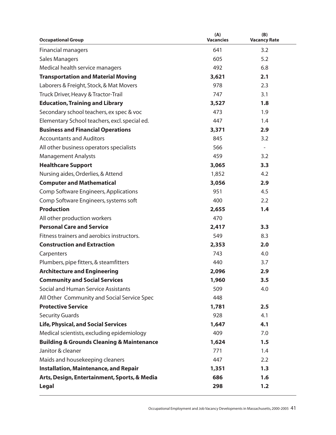| <b>Occupational Group</b>                                | (A)<br><b>Vacancies</b> | (B)<br><b>Vacancy Rate</b> |
|----------------------------------------------------------|-------------------------|----------------------------|
| <b>Financial managers</b>                                | 641                     | 3.2                        |
| <b>Sales Managers</b>                                    | 605                     | 5.2                        |
| Medical health service managers                          | 492                     | 6.8                        |
| <b>Transportation and Material Moving</b>                | 3,621                   | 2.1                        |
| Laborers & Freight, Stock, & Mat Movers                  | 978                     | 2.3                        |
| Truck Driver, Heavy & Tractor-Trail                      | 747                     | 3.1                        |
| <b>Education, Training and Library</b>                   | 3,527                   | 1.8                        |
| Secondary school teachers, ex spec & voc                 | 473                     | 1.9                        |
| Elementary School teachers, excl. special ed.            | 447                     | 1.4                        |
| <b>Business and Financial Operations</b>                 | 3,371                   | 2.9                        |
| <b>Accountants and Auditors</b>                          | 845                     | 3.2                        |
| All other business operators specialists                 | 566                     |                            |
| <b>Management Analysts</b>                               | 459                     | 3.2                        |
| <b>Healthcare Support</b>                                | 3,065                   | 3.3                        |
| Nursing aides, Orderlies, & Attend                       | 1,852                   | 4.2                        |
| <b>Computer and Mathematical</b>                         | 3,056                   | 2.9                        |
| Comp Software Engineers, Applications                    | 951                     | 4.5                        |
| Comp Software Engineers, systems soft                    | 400                     | 2.2                        |
| <b>Production</b>                                        | 2,655                   | 1.4                        |
| All other production workers                             | 470                     |                            |
| <b>Personal Care and Service</b>                         | 2,417                   | 3.3                        |
| Fitness trainers and aerobics instructors.               | 549                     | 8.3                        |
| <b>Construction and Extraction</b>                       | 2,353                   | 2.0                        |
| Carpenters                                               | 743                     | 4.0                        |
| Plumbers, pipe fitters, & steamfitters                   | 440                     | 3.7                        |
| <b>Architecture and Engineering</b>                      | 2,096                   | 2.9                        |
| <b>Community and Social Services</b>                     | 1,960                   | 3.5                        |
| Social and Human Service Assistants                      | 509                     | 4.0                        |
| All Other Community and Social Service Spec              | 448                     |                            |
| <b>Protective Service</b>                                | 1,781                   | 2.5                        |
| <b>Security Guards</b>                                   | 928                     | 4.1                        |
| <b>Life, Physical, and Social Services</b>               | 1,647                   | 4.1                        |
| Medical scientists, excluding epidemiology               | 409                     | 7.0                        |
| <b>Building &amp; Grounds Cleaning &amp; Maintenance</b> | 1,624                   | 1.5                        |
| Janitor & cleaner                                        | 771                     | 1.4                        |
| Maids and housekeeping cleaners                          | 447                     | 2.2                        |
| <b>Installation, Maintenance, and Repair</b>             | 1,351                   | 1.3                        |
| Arts, Design, Entertainment, Sports, & Media             | 686                     | 1.6                        |
| <b>Legal</b>                                             | 298                     | 1.2                        |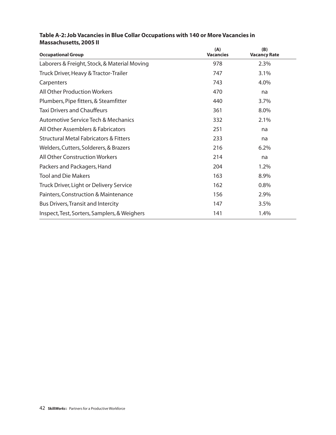| <b>Occupational Group</b>                         | (A)<br><b>Vacancies</b> | (B)<br><b>Vacancy Rate</b> |
|---------------------------------------------------|-------------------------|----------------------------|
| Laborers & Freight, Stock, & Material Moving      | 978                     | 2.3%                       |
| Truck Driver, Heavy & Tractor-Trailer             | 747                     | 3.1%                       |
| Carpenters                                        | 743                     | 4.0%                       |
| <b>All Other Production Workers</b>               | 470                     | na                         |
| Plumbers, Pipe fitters, & Steamfitter             | 440                     | 3.7%                       |
| <b>Taxi Drivers and Chauffeurs</b>                | 361                     | 8.0%                       |
| <b>Automotive Service Tech &amp; Mechanics</b>    | 332                     | 2.1%                       |
| All Other Assemblers & Fabricators                | 251                     | na                         |
| <b>Structural Metal Fabricators &amp; Fitters</b> | 233                     | na                         |
| Welders, Cutters, Solderers, & Brazers            | 216                     | 6.2%                       |
| <b>All Other Construction Workers</b>             | 214                     | na                         |
| Packers and Packagers, Hand                       | 204                     | 1.2%                       |
| <b>Tool and Die Makers</b>                        | 163                     | 8.9%                       |
| Truck Driver, Light or Delivery Service           | 162                     | 0.8%                       |
| Painters, Construction & Maintenance              | 156                     | 2.9%                       |
| <b>Bus Drivers, Transit and Intercity</b>         | 147                     | 3.5%                       |
| Inspect, Test, Sorters, Samplers, & Weighers      | 141                     | 1.4%                       |

## **Table A-2: Job Vacancies in Blue Collar Occupations with 140 or More Vacancies in Massachusetts, 2005 II**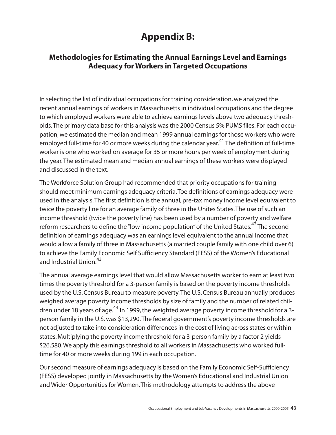# **Appendix B:**

## **Methodologies for Estimating the Annual Earnings Level and Earnings Adequacy for Workers in Targeted Occupations**

In selecting the list of individual occupations for training consideration, we analyzed the recent annual earnings of workers in Massachusetts in individual occupations and the degree to which employed workers were able to achieve earnings levels above two adequacy thresholds.The primary data base for this analysis was the 2000 Census 5% PUMS files. For each occupation, we estimated the median and mean 1999 annual earnings for those workers who were employed full-time for 40 or more weeks during the calendar year.<sup>41</sup> The definition of full-time worker is one who worked on average for 35 or more hours per week of employment during the year.The estimated mean and median annual earnings of these workers were displayed and discussed in the text.

The Workforce Solution Group had recommended that priority occupations for training should meet minimum earnings adequacy criteria.Toe definitions of earnings adequacy were used in the analysis.The first definition is the annual, pre-tax money income level equivalent to twice the poverty line for an average family of three in the Unites States.The use of such an income threshold (twice the poverty line) has been used by a number of poverty and welfare reform researchers to define the "low income population" of the United States.<sup>42</sup> The second definition of earnings adequacy was an earnings level equivalent to the annual income that would allow a family of three in Massachusetts (a married couple family with one child over 6) to achieve the Family Economic Self Sufficiency Standard (FESS) of the Women's Educational and Industrial Union.<sup>43</sup>

The annual average earnings level that would allow Massachusetts worker to earn at least two times the poverty threshold for a 3-person family is based on the poverty income thresholds used by the U.S. Census Bureau to measure poverty.The U.S. Census Bureau annually produces weighed average poverty income thresholds by size of family and the number of related children under 18 years of age.<sup>44</sup> In 1999, the weighted average poverty income threshold for a 3person family in the U.S. was \$13,290.The federal government's poverty income thresholds are not adjusted to take into consideration differences in the cost of living across states or within states. Multiplying the poverty income threshold for a 3-person family by a factor 2 yields \$26,580.We apply this earnings threshold to all workers in Massachusetts who worked fulltime for 40 or more weeks during 199 in each occupation.

Our second measure of earnings adequacy is based on the Family Economic Self-Sufficiency (FESS) developed jointly in Massachusetts by the Women's Educational and Industrial Union and Wider Opportunities for Women.This methodology attempts to address the above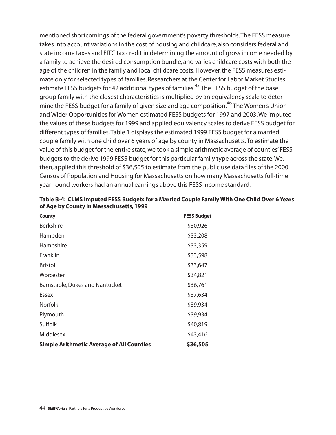mentioned shortcomings of the federal government's poverty thresholds.The FESS measure takes into account variations in the cost of housing and childcare, also considers federal and state income taxes and EITC tax credit in determining the amount of gross income needed by a family to achieve the desired consumption bundle, and varies childcare costs with both the age of the children in the family and local childcare costs. However, the FESS measures estimate only for selected types of families. Researchers at the Center for Labor Market Studies estimate FESS budgets for 42 additional types of families.<sup>45</sup> The FESS budget of the base group family with the closest characteristics is multiplied by an equivalency scale to determine the FESS budget for a family of given size and age composition.<sup>46</sup> The Women's Union and Wider Opportunities for Women estimated FESS budgets for 1997 and 2003.We imputed the values of these budgets for 1999 and applied equivalency scales to derive FESS budget for different types of families.Table 1 displays the estimated 1999 FESS budget for a married couple family with one child over 6 years of age by county in Massachusetts.To estimate the value of this budget for the entire state, we took a simple arithmetic average of counties' FESS budgets to the derive 1999 FESS budget for this particular family type across the state.We, then, applied this threshold of \$36,505 to estimate from the public use data files of the 2000 Census of Population and Housing for Massachusetts on how many Massachusetts full-time year-round workers had an annual earnings above this FESS income standard.

| <b>FESS Budget</b> |
|--------------------|
| \$30,926           |
| \$33,208           |
| \$33,359           |
| \$33,598           |
| \$33,647           |
| \$34,821           |
| \$36,761           |
| \$37,634           |
| \$39,934           |
| \$39,934           |
| \$40,819           |
| \$43,416           |
| \$36,505           |
|                    |

**Table B-4: CLMS Imputed FESS Budgets for a Married Couple Family With One Child Over 6 Years of Age by County in Massachusetts, 1999**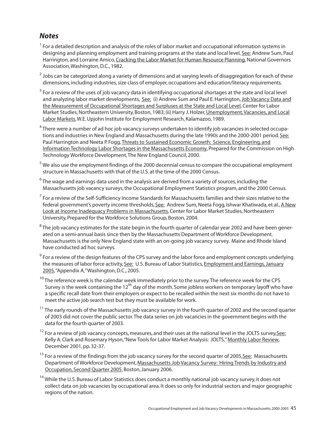# *Notes*

- $1$  For a detailed description and analysis of the roles of labor market and occupational information systems in designing and planning employment and training programs at the state and local level, See: Andrew Sum, Paul Harrington, and Lorraine Amico, Cracking the Labor Market for Human Resource Planning, National Governors Association,Washington, D.C., 1982.
- $2$  Jobs can be categorized along a variety of dimensions and at varying levels of disaggregation for each of these dimensions, including industries, size class of employer, occupations and education/literacy requirements.
- <sup>3</sup> For a review of the uses of job vacancy data in identifying occupational shortages at the state and local level and analyzing labor market developments, See: (i) Andrew Sum and Paul E. Harrington, Job Vacancy Data and the Measurement of Occupational Shortages and Surpluses at the State and Local Level, Center for Labor Market Studies, Northeastern University, Boston, 1983; (ii) Harry J. Holzer, Unemployment,Vacancies, and Local Labor Markets,W.E. Upjohn Institute for Employment Research, Kalamazoo, 1989.
- $4$ There were a number of ad hoc job vacancy surveys undertaken to identify job vacancies in selected occupations and industries in New England and Massachusetts during the late 1990s and the 2000-2001 period. See: Paul Harrington and Neeta P. Fogg, Threats to Sustained Economic Growth: Science, Engineering, and Information Technology Labor Shortages in the Massachusetts Economy, Prepared for the Commission on High Technology Workforce Development,The New England Council, 2000.
- $5$  We also use the employment findings of the 2000 decennial census to compare the occupational employment structure in Massachusetts with that of the U.S. at the time of the 2000 Census.
- $6$ The wage and earnings data used in the analysis are derived from a variety of sources, including the Massachusetts job vacancy surveys, the Occupational Employment Statistics program, and the 2000 Census.
- $<sup>7</sup>$  For a review of the Self-Sufficiency Income Standards for Massachusetts families and their sizes relative to the</sup> federal government's poverty income thresholds, See: Andrew Sum, Neeta Fogg, Ishwar Khatiwada, et.al., A New Look at Income Inadequacy Problems in Massachusetts, Center for Labor Market Studies, Northeastern University, Prepared for the Workforce Solutions Group, Boston, 2004.
- $8$ The iob vacancy estimates for the state begin in the fourth quarter of calendar year 2002 and have been generated on a semi-annual basis since then by the Massachusetts Department of Workforce Development. Massachusetts is the only New England state with an on-going job vacancy survey. Maine and Rhode Island have conducted ad hoc surveys.
- $9<sup>9</sup>$  For a review of the design features of the CPS survey and the labor force and employment concepts underlying the measures of labor force activity, See: U.S. Bureau of Labor Statistics, Employment and Earnings,January 2005,"Appendix A,"Washington, D.C., 2005.
- <sup>10</sup> The reference week is the calendar week immediately prior to the survey. The reference week for the CPS Survey is the week containing the  $12<sup>th</sup>$  day of the month. Some jobless workers on temporary layoff who have a specific recall date from their employers or expect to be recalled within the next six months do not have to meet the active job search test but they must be available for work.
- $11$  The early rounds of the Massachusetts job vacancy survey in the fourth quarter of 2002 and the second quarter of 2003 did not cover the public sector.The data series on job vacancies in the government begins with the data for the fourth quarter of 2003.
- <sup>12</sup> For a review of job vacancy concepts, measures, and their uses at the national level in the JOLTS survey, See: Kelly A. Clark and Rosemary Hyson,"New Tools for Labor Market Analysis: JOLTS,"Monthly Labor Review, December 2001, pp. 32-37.
- <sup>13</sup> For a review of the findings from the job vacancy survey for the second quarter of 2005, See: Massachusetts Department of Workforce Development, Massachusetts Job Vacancy Survey: Hiring Trends by Industry and Occupation, Second Quarter 2005, Boston, January 2006.
- <sup>14</sup> While the U.S. Bureau of Labor Statistics does conduct a monthly national job vacancy survey, it does not collect data on job vacancies by occupational area. It does so only for industrial sectors and major geographic regions of the nation.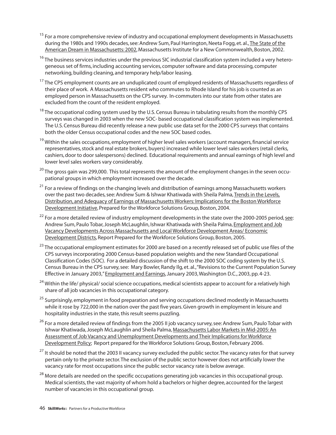- <sup>15</sup> For a more comprehensive review of industry and occupational employment developments in Massachusetts during the 1980s and 1990s decades, see: Andrew Sum, Paul Harrington, Neeta Fogg, et. al., The State of the American Dream in Massachusetts: 2002, Massachusetts Institute for a New Commonwealth, Boston, 2002.
- $16$  The business services industries under the previous SIC industrial classification system included a very heterogeneous set of firms, including accounting services, computer software and data processing, computer networking, building cleaning, and temporary help/labor leasing.
- <sup>17</sup> The CPS employment counts are an unduplicated count of employed residents of Massachusetts regardless of their place of work. A Massachusetts resident who commutes to Rhode Island for his job is counted as an employed person in Massachusetts on the CPS survey. In-commuters into our state from other states are excluded from the count of the resident employed.
- <sup>18</sup> The occupational coding system used by the U.S. Census Bureau in tabulating results from the monthly CPS surveys was changed in 2003 when the new SOC- based occupational classification system was implemented. The U.S. Census Bureau did recently release a new public use data set for the 2000 CPS surveys that contains both the older Census occupational codes and the new SOC based codes.
- <sup>19</sup> Within the sales occupations, employment of higher level sales workers (account managers, financial service representatives, stock and real estate brokers, buyers) increased while lower level sales workers (retail clerks, cashiers, door to door salespersons) declined. Educational requirements and annual earnings of high level and lower level sales workers vary considerably.
- $20$  The gross gain was 299,000. This total represents the amount of the employment changes in the seven occupational groups in which employment increased over the decade.
- $21$  For a review of findings on the changing levels and distribution of earnings among Massachusetts workers over the past two decades, see: Andrew Sum & Ishwar Khatiwada with Sheila Palma, Trends in the Levels, Distribution, and Adequacy of Earnings of Massachusetts Workers: Implications for the Boston Workforce Development Initiative, Prepared for the Workforce Solutions Group, Boston, 2004.
- $22$  For a more detailed review of industry employment developments in the state over the 2000-2005 period, see: Andrew Sum,Paulo Tobar, Joseph McLaughlin, Ishwar Khatiwada with Sheila Palma, Employment and Job Vacancy Developments Across Massachusetts and Local Workforce Development Areas/ Economic Development Districts, Report Prepared for the Workforce Solutions Group, Boston, 2005.
- <sup>23</sup> The occupational employment estimates for 2000 are based on a recently released set of public use files of the CPS surveys incorporating 2000 Census-based population weights and the new Standard Occupational Classification Codes (SOC). For a detailed discussion of the shift to the 2000 SOC coding system by the U.S. Census Bureau in the CPS survey, see: Mary Bowler, Randy Ilg, et. al.,"Revisions to the Current Population Survey Effective in January 2003,"Employment and Earnings, January 2003,Washington D.C., 2003, pp. 4-23.
- <sup>24</sup> Within the life/ physical/ social science occupations, medical scientists appear to account for a relatively high share of all job vacancies in this occupational category.
- <sup>25</sup> Surprisingly, employment in food preparation and serving occupations declined modestly in Massachusetts while it rose by 722,000 in the nation over the past five years. Given growth in employment in leisure and hospitality industries in the state, this result seems puzzling.
- <sup>26</sup> For a more detailed review of findings from the 2005 II job vacancy survey, see: Andrew Sum, Paulo Tobar with Ishwar Khatiwada, Joseph McLaughlin and Sheila Palma, Massachusetts Labor Markets in Mid-2005:An Assessment of Job Vacancy and Unemployment Developments and Their Implications for Workforce Development Policy; Report prepared for the Workforce Solutions Group, Boston, February 2006.
- <sup>27</sup> It should be noted that the 2003 II vacancy survey excluded the public sector. The vacancy rates for that survey pertain only to the private sector.The exclusion of the public sector however does not artificially lower the vacancy rate for most occupations since the public sector vacancy rate is below average.
- <sup>28</sup> More details are needed on the specific occupations generating job vacancies in this occupational group. Medical scientists, the vast majority of whom hold a bachelors or higher degree, accounted for the largest number of vacancies in this occupational group.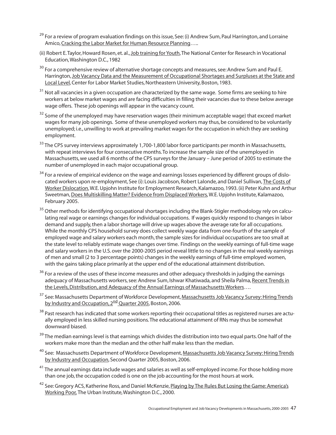- <sup>29</sup> For a review of program evaluation findings on this issue, See: (i) Andrew Sum, Paul Harrington, and Lorraine Amico, Cracking the Labor Market for Human Resource Planning…..
- (ii) Robert E.Taylor, Howard Rosen, et. al., Job training for Youth,The National Center for Research in Vocational Education,Washington D.C., 1982
- <sup>30</sup> For a comprehensive review of alternative shortage concepts and measures, see: Andrew Sum and Paul E. Harrington, Job Vacancy Data and the Measurement of Occupational Shortages and Surpluses at the State and Local Level, Center for Labor Market Studies, Northeastern University, Boston, 1983.
- <sup>31</sup> Not all vacancies in a given occupation are characterized by the same wage. Some firms are seeking to hire workers at below market wages and are facing difficulties in filling their vacancies due to these below average wage offers. These job openings will appear in the vacancy count.
- $32$  Some of the unemployed may have reservation wages (their minimum acceptable wage) that exceed market wages for many job openings. Some of these unemployed workers may thus, be considered to be voluntarily unemployed; i.e., unwilling to work at prevailing market wages for the occupation in which they are seeking employment.
- <sup>33</sup> The CPS survey interviews approximately 1,700-1,800 labor force participants per month in Massachusetts, with repeat interviews for four consecutive months.To increase the sample size of the unemployed in Massachusetts, we used all 6 months of the CPS surveys for the January – June period of 2005 to estimate the number of unemployed in each major occupational group.
- <sup>34</sup> For a review of empirical evidence on the wage and earnings losses experienced by different groups of dislocated workers upon re-employment, See (i): Louis Jacobson, Robert Lalonde, and Daniel Sullivan, The Costs of Worker Dislocation,W.E. Upjohn Institute for Employment Research, Kalamazoo, 1993. (ii) Peter Kuhn and Arthur Sweetman,Does Multiskilling Matter? Evidence from Displaced Workers,W.E. Upjohn Institute, Kalamazoo, February 2005.
- <sup>35</sup> Other methods for identifying occupational shortages including the Blank-Stigler methodology rely on calculating real wage or earnings changes for individual occupations. If wages quickly respond to changes in labor demand and supply,then a labor shortage will drive up wages above the average rate for all occupations. While the monthly CPS household survey does collect weekly wage data from one-fourth of the sample of employed wage and salary workers each month, the sample sizes for individual occupations are too small at the state level to reliably estimate wage changes over time. Findings on the weekly earnings of full-time wage and salary workers in the U.S.over the 2000-2005 period reveal little to no changes in the real weekly earnings of men and small (2 to 3 percentage points) changes in the weekly earnings of full-time employed women, with the gains taking place primarily at the upper end of the educational attainment distribution.
- <sup>36</sup> For a review of the uses of these income measures and other adequacy thresholds in judging the earnings adequacy of Massachusetts workers, see: Andrew Sum, Ishwar Khatiwada, and Sheila Palma, Recent Trends in the Levels,Distribution, and Adequacy of the Annual Earnings of Massachusetts Workers….
- <sup>37</sup> See: Massachusetts Department of Workforce Development, Massachusetts Job Vacancy Survey: Hiring Trends by Industry and Occupation, 2<sup>nd</sup> Quarter 2005, Boston, 2006.
- <sup>38</sup> Past research has indicated that some workers reporting their occupational titles as registered nurses are actually employed in less skilled nursing positions.The educational attainment of RNs may thus be somewhat downward biased.
- $39$  The median earnings level is that earnings which divides the distribution into two equal parts. One half of the workers make more than the median and the other half make less than the median.
- <sup>40</sup> See: Massachusetts Department of Workforce Development, Massachusetts Job Vacancy Survey: Hiring Trends by Industry and Occupation, Second Quarter 2005, Boston, 2006.
- <sup>41</sup> The annual earnings data include wages and salaries as well as self-employed income. For those holding more than one job, the occupation coded is one on the job accounting for the most hours at work.
- <sup>42</sup> See: Gregory ACS, Katherine Ross, and Daniel McKenzie, Playing by The Rules But Losing the Game: America's Working Poor, The Urban Institute,Washington D.C., 2000.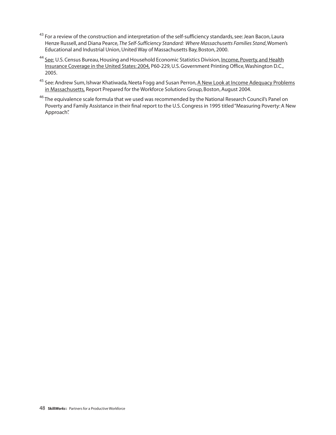- <sup>43</sup> For a review of the construction and interpretation of the self-sufficiency standards, see: Jean Bacon, Laura Henze Russell, and Diana Pearce, *The Self-Sufficiency Standard: Where Massachusetts Families Stand*,Women's Educational and Industrial Union, United Way of Massachusetts Bay, Boston, 2000.
- <sup>44</sup> See: U.S. Census Bureau, Housing and Household Economic Statistics Division, Income, Poverty, and Health Insurance Coverage in the United States: 2004, P60-229, U.S. Government Printing Office,Washington D.C., 2005.
- <sup>45</sup> See: Andrew Sum, Ishwar Khatiwada, Neeta Fogg and Susan Perron, A New Look at Income Adequacy Problems in Massachusetts, Report Prepared for the Workforce Solutions Group, Boston, August 2004.
- <sup>46</sup> The equivalence scale formula that we used was recommended by the National Research Council's Panel on Poverty and Family Assistance in their final report to the U.S. Congress in 1995 titled "Measuring Poverty: A New Approach".